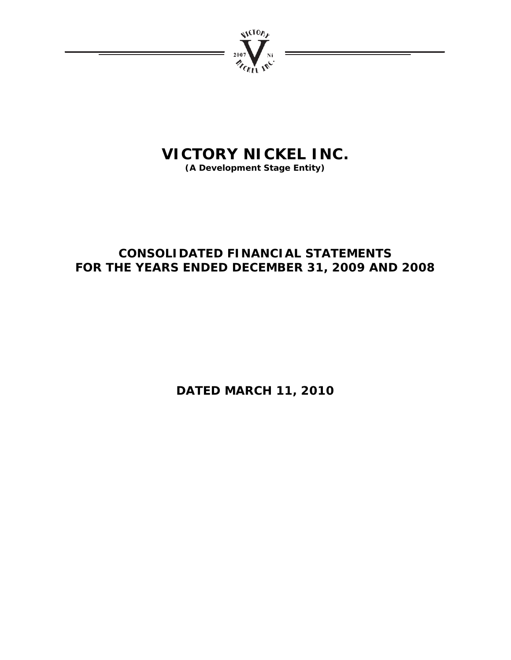

# **VICTORY NICKEL INC.**

**(A Development Stage Entity)** 

# **CONSOLIDATED FINANCIAL STATEMENTS FOR THE YEARS ENDED DECEMBER 31, 2009 AND 2008**

**DATED MARCH 11, 2010**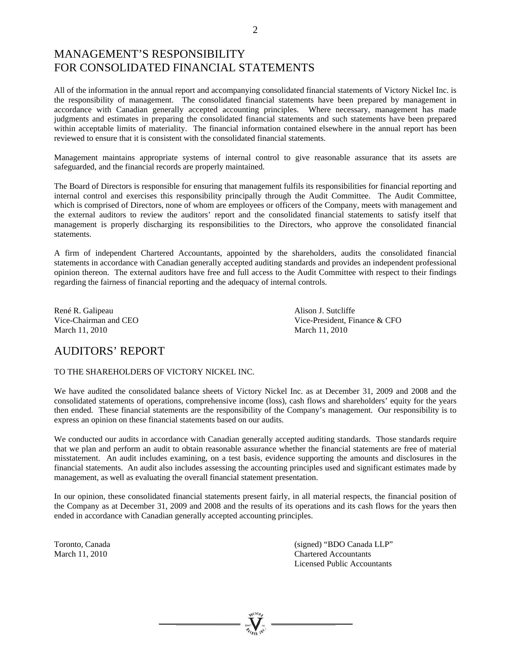# MANAGEMENT'S RESPONSIBILITY FOR CONSOLIDATED FINANCIAL STATEMENTS

All of the information in the annual report and accompanying consolidated financial statements of Victory Nickel Inc. is the responsibility of management. The consolidated financial statements have been prepared by management in accordance with Canadian generally accepted accounting principles. Where necessary, management has made judgments and estimates in preparing the consolidated financial statements and such statements have been prepared within acceptable limits of materiality. The financial information contained elsewhere in the annual report has been reviewed to ensure that it is consistent with the consolidated financial statements.

Management maintains appropriate systems of internal control to give reasonable assurance that its assets are safeguarded, and the financial records are properly maintained.

The Board of Directors is responsible for ensuring that management fulfils its responsibilities for financial reporting and internal control and exercises this responsibility principally through the Audit Committee. The Audit Committee, which is comprised of Directors, none of whom are employees or officers of the Company, meets with management and the external auditors to review the auditors' report and the consolidated financial statements to satisfy itself that management is properly discharging its responsibilities to the Directors, who approve the consolidated financial statements.

A firm of independent Chartered Accountants, appointed by the shareholders, audits the consolidated financial statements in accordance with Canadian generally accepted auditing standards and provides an independent professional opinion thereon. The external auditors have free and full access to the Audit Committee with respect to their findings regarding the fairness of financial reporting and the adequacy of internal controls.

René R. Galipeau **Alison J. Sutcliffe** March 11, 2010 March 11, 2010

Vice-Chairman and CEO Vice-President, Finance & CFO

# AUDITORS' REPORT

## TO THE SHAREHOLDERS OF VICTORY NICKEL INC.

We have audited the consolidated balance sheets of Victory Nickel Inc. as at December 31, 2009 and 2008 and the consolidated statements of operations, comprehensive income (loss), cash flows and shareholders' equity for the years then ended. These financial statements are the responsibility of the Company's management. Our responsibility is to express an opinion on these financial statements based on our audits.

We conducted our audits in accordance with Canadian generally accepted auditing standards. Those standards require that we plan and perform an audit to obtain reasonable assurance whether the financial statements are free of material misstatement. An audit includes examining, on a test basis, evidence supporting the amounts and disclosures in the financial statements. An audit also includes assessing the accounting principles used and significant estimates made by management, as well as evaluating the overall financial statement presentation.

In our opinion, these consolidated financial statements present fairly, in all material respects, the financial position of the Company as at December 31, 2009 and 2008 and the results of its operations and its cash flows for the years then ended in accordance with Canadian generally accepted accounting principles.

Toronto, Canada (signed) "BDO Canada LLP" March 11, 2010 Chartered Accountants Licensed Public Accountants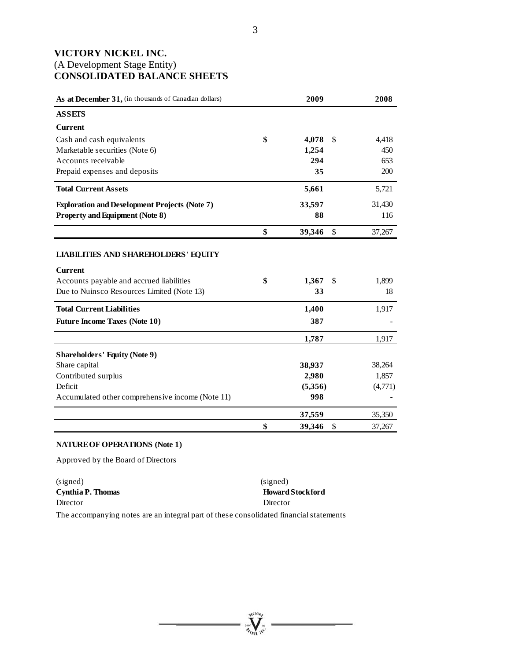# **VICTORY NICKEL INC.**  (A Development Stage Entity) **CONSOLIDATED BALANCE SHEETS**

| As at December 31, (in thousands of Canadian dollars)                                                                                                   | 2009              |              | 2008        |
|---------------------------------------------------------------------------------------------------------------------------------------------------------|-------------------|--------------|-------------|
| <b>ASSETS</b>                                                                                                                                           |                   |              |             |
| <b>Current</b>                                                                                                                                          |                   |              |             |
| Cash and cash equivalents                                                                                                                               | \$<br>4,078       | \$           | 4,418       |
| Marketable securities (Note 6)                                                                                                                          | 1,254             |              | 450         |
| Accounts receivable                                                                                                                                     | 294               |              | 653         |
| Prepaid expenses and deposits                                                                                                                           | 35                |              | 200         |
| <b>Total Current Assets</b>                                                                                                                             | 5,661             |              | 5,721       |
| <b>Exploration and Development Projects (Note 7)</b>                                                                                                    | 33,597            |              | 31,430      |
| <b>Property and Equipment (Note 8)</b>                                                                                                                  | 88                |              | 116         |
|                                                                                                                                                         | \$<br>39,346      | $\mathbb{S}$ | 37,267      |
| <b>LIABILITIES AND SHAREHOLDERS' EQUITY</b><br><b>Current</b><br>Accounts payable and accrued liabilities<br>Due to Nuinsco Resources Limited (Note 13) | \$<br>1,367<br>33 | \$           | 1,899<br>18 |
| <b>Total Current Liabilities</b>                                                                                                                        | 1,400             |              | 1,917       |
| <b>Future Income Taxes (Note 10)</b>                                                                                                                    | 387               |              |             |
|                                                                                                                                                         | 1,787             |              | 1,917       |
| <b>Shareholders' Equity (Note 9)</b>                                                                                                                    |                   |              |             |
| Share capital                                                                                                                                           | 38,937            |              | 38,264      |
| Contributed surplus                                                                                                                                     | 2,980             |              | 1,857       |
| Deficit                                                                                                                                                 | (5,356)           |              | (4,771)     |
| Accumulated other comprehensive income (Note 11)                                                                                                        | 998               |              |             |
|                                                                                                                                                         | 37,559            |              | 35,350      |
|                                                                                                                                                         | \$<br>39,346      | \$           | 37,267      |

# **NATURE OF OPERATIONS (Note 1)**

Approved by the Board of Directors

(signed) (signed) **Cynthia P. Thomas** Howard Stockford Director Director

The accompanying notes are an integral part of these consolidated financial statements

**William**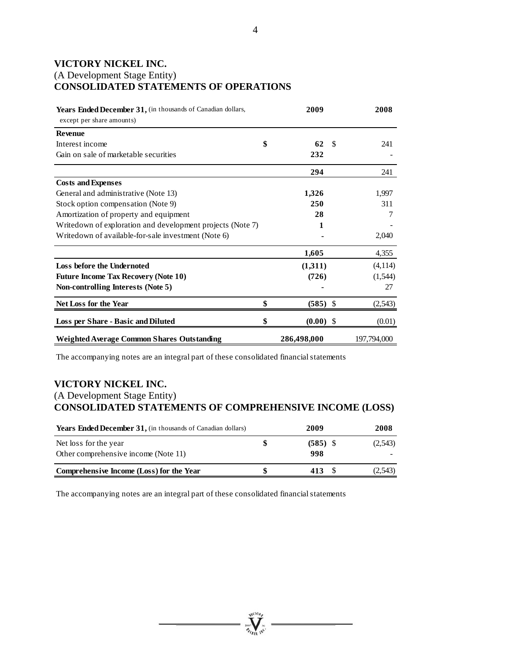# **VICTORY NICKEL INC.**

# (A Development Stage Entity) **CONSOLIDATED STATEMENTS OF OPERATIONS**

| Years Ended December 31, (in thousands of Canadian dollars,<br>except per share amounts) | 2009              |               | 2008        |
|------------------------------------------------------------------------------------------|-------------------|---------------|-------------|
| <b>Revenue</b>                                                                           |                   |               |             |
| Interest income                                                                          | \$<br>62          | <sup>\$</sup> | 241         |
| Gain on sale of marketable securities                                                    | 232               |               |             |
|                                                                                          | 294               |               | 241         |
| <b>Costs and Expenses</b>                                                                |                   |               |             |
| General and administrative (Note 13)                                                     | 1,326             |               | 1,997       |
| Stock option compensation (Note 9)                                                       | 250               |               | 311         |
| Amortization of property and equipment                                                   | 28                |               | 7           |
| Writedown of exploration and development projects (Note 7)                               | 1                 |               |             |
| Writedown of available-for-sale investment (Note 6)                                      |                   |               | 2,040       |
|                                                                                          | 1,605             |               | 4,355       |
| Loss before the Undernoted                                                               | (1,311)           |               | (4,114)     |
| <b>Future Income Tax Recovery (Note 10)</b>                                              | (726)             |               | (1,544)     |
| Non-controlling Interests (Note 5)                                                       |                   |               | 27          |
| <b>Net Loss for the Year</b>                                                             | \$<br>$(585)$ \$  |               | (2, 543)    |
| Loss per Share - Basic and Diluted                                                       | \$<br>$(0.00)$ \$ |               | (0.01)      |
| Weighted Average Common Shares Outstanding                                               | 286,498,000       |               | 197,794,000 |

The accompanying notes are an integral part of these consolidated financial statements

# **VICTORY NICKEL INC.**  (A Development Stage Entity) **CONSOLIDATED STATEMENTS OF COMPREHENSIVE INCOME (LOSS)**

| <b>Years Ended December 31, (in thousands of Canadian dollars)</b> |  | 2009              | 2008    |  |  |
|--------------------------------------------------------------------|--|-------------------|---------|--|--|
| Net loss for the year<br>Other comprehensive income (Note 11)      |  | $(585)$ \$<br>998 | (2,543) |  |  |
| Comprehensive Income (Loss) for the Year                           |  | 413               | (2.543) |  |  |

The accompanying notes are an integral part of these consolidated financial statements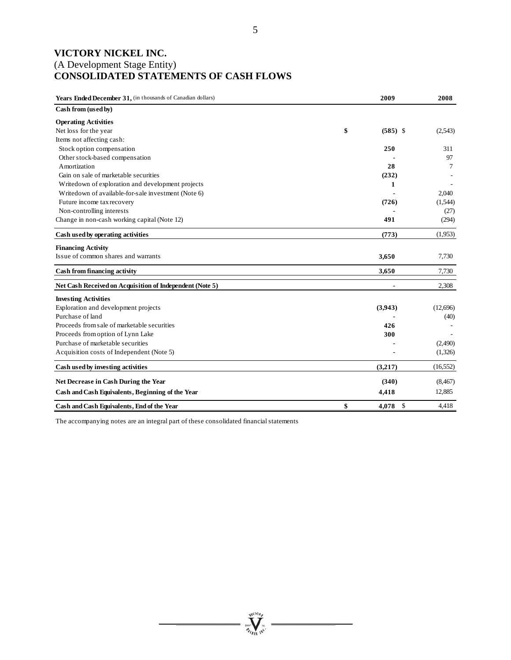# **VICTORY NICKEL INC.**  (A Development Stage Entity) **CONSOLIDATED STATEMENTS OF CASH FLOWS**

| Years Ended December 31, (in thousands of Canadian dollars) | 2009             | 2008      |
|-------------------------------------------------------------|------------------|-----------|
| Cash from (used by)                                         |                  |           |
| <b>Operating Activities</b>                                 |                  |           |
| Net loss for the year                                       | \$<br>$(585)$ \$ | (2,543)   |
| Items not affecting cash:                                   |                  |           |
| Stock option compensation                                   | 250              | 311       |
| Other stock-based compensation                              |                  | 97        |
| Amortization                                                | 28               | 7         |
| Gain on sale of marketable securities                       | (232)            |           |
| Writedown of exploration and development projects           | 1                |           |
| Writedown of available-for-sale investment (Note 6)         |                  | 2,040     |
| Future income tax recovery                                  | (726)            | (1,544)   |
| Non-controlling interests                                   |                  | (27)      |
| Change in non-cash working capital (Note 12)                | 491              | (294)     |
| Cash used by operating activities                           | (773)            | (1,953)   |
| <b>Financing Activity</b>                                   |                  |           |
| Issue of common shares and warrants                         | 3,650            | 7,730     |
| Cash from financing activity                                | 3.650            | 7,730     |
| Net Cash Received on Acquisition of Independent (Note 5)    |                  | 2,308     |
| <b>Investing Activities</b>                                 |                  |           |
| Exploration and development projects                        | (3,943)          | (12,696)  |
| Purchase of land                                            |                  | (40)      |
| Proceeds from sale of marketable securities                 | 426              |           |
| Proceeds from option of Lynn Lake                           | 300              |           |
| Purchase of marketable securities                           |                  | (2,490)   |
| Acquisition costs of Independent (Note 5)                   |                  | (1,326)   |
| Cash used by investing activities                           | (3,217)          | (16, 552) |
| Net Decrease in Cash During the Year                        | (340)            | (8, 467)  |
| Cash and Cash Equivalents, Beginning of the Year            | 4,418            | 12,885    |
| Cash and Cash Equivalents, End of the Year                  | \$<br>$4,078$ \$ | 4,418     |

Arriov  $\sum_{\gamma_{\alpha}}$ 

The accompanying notes are an integral part of these consolidated financial statements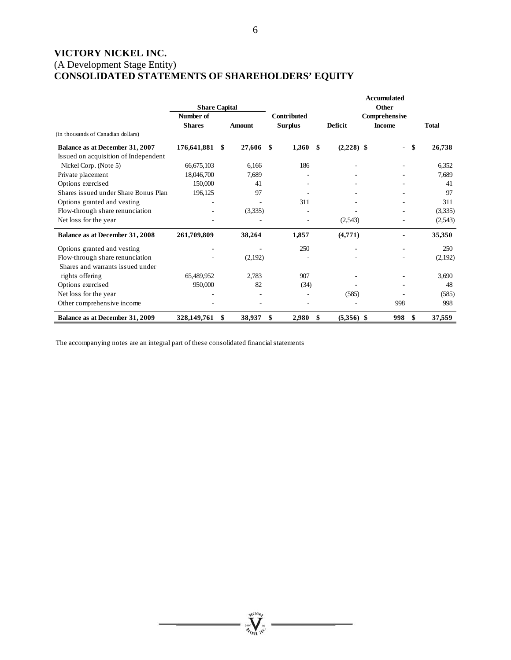# **VICTORY NICKEL INC.**  (A Development Stage Entity) **CONSOLIDATED STATEMENTS OF SHAREHOLDERS' EQUITY**

|                                      | <b>Share Capital</b>       |              |     |                               |                    | <b>Accumulated</b><br>Other    |              |
|--------------------------------------|----------------------------|--------------|-----|-------------------------------|--------------------|--------------------------------|--------------|
| (in thousands of Canadian dollars)   | Number of<br><b>Shares</b> | Amount       |     | Contributed<br><b>Surplus</b> | <b>Deficit</b>     | Comprehensive<br><b>Income</b> | <b>Total</b> |
| Balance as at December 31, 2007      | 176,641,881                | \$<br>27,606 | -\$ | 1,360                         | \$<br>$(2,228)$ \$ | \$<br>$\overline{\phantom{0}}$ | 26,738       |
| Issued on acquisition of Independent |                            |              |     |                               |                    |                                |              |
| Nickel Corp. (Note 5)                | 66,675,103                 | 6.166        |     | 186                           |                    |                                | 6,352        |
| Private placement                    | 18,046,700                 | 7,689        |     |                               |                    |                                | 7,689        |
| Options exercised                    | 150,000                    | 41           |     |                               |                    |                                | 41           |
| Shares issued under Share Bonus Plan | 196,125                    | 97           |     |                               |                    |                                | 97           |
| Options granted and vesting          |                            |              |     | 311                           |                    |                                | 311          |
| Flow-through share renunciation      |                            | (3,335)      |     |                               |                    |                                | (3,335)      |
| Net loss for the year                |                            |              |     |                               | (2,543)            |                                | (2,543)      |
| Balance as at December 31, 2008      | 261,709,809                | 38,264       |     | 1,857                         | (4,771)            |                                | 35,350       |
| Options granted and vesting          |                            |              |     | 250                           |                    |                                | 250          |
| Flow-through share renunciation      |                            | (2,192)      |     |                               |                    |                                | (2,192)      |
| Shares and warrants issued under     |                            |              |     |                               |                    |                                |              |
| rights offering                      | 65,489,952                 | 2,783        |     | 907                           |                    |                                | 3,690        |
| Options exercised                    | 950,000                    | 82           |     | (34)                          |                    |                                | 48           |
| Net loss for the year                |                            |              |     |                               | (585)              |                                | (585)        |
| Other comprehensive income           |                            |              |     |                               |                    | 998                            | 998          |
| Balance as at December 31, 2009      | 328,149,761                | \$<br>38,937 | \$  | 2,980                         | \$<br>$(5,356)$ \$ | 998<br>\$                      | 37,559       |

**William** 

The accompanying notes are an integral part of these consolidated financial statements

6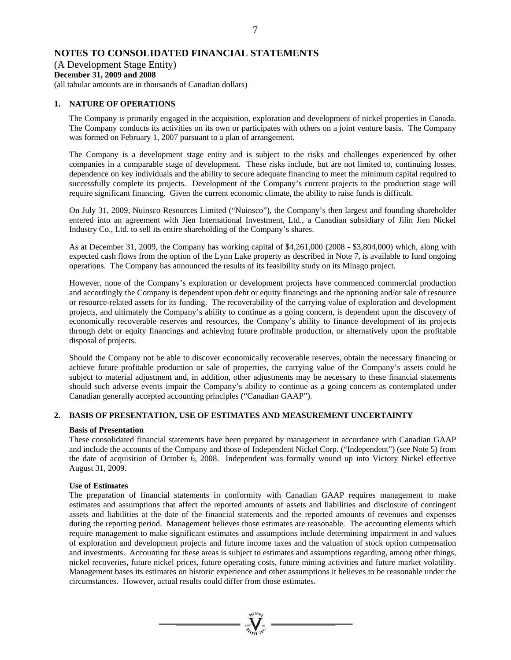# **NOTES TO CONSOLIDATED FINANCIAL STATEMENTS**

# (A Development Stage Entity)

# **December 31, 2009 and 2008**

(all tabular amounts are in thousands of Canadian dollars)

# **1. NATURE OF OPERATIONS**

The Company is primarily engaged in the acquisition, exploration and development of nickel properties in Canada. The Company conducts its activities on its own or participates with others on a joint venture basis. The Company was formed on February 1, 2007 pursuant to a plan of arrangement.

The Company is a development stage entity and is subject to the risks and challenges experienced by other companies in a comparable stage of development. These risks include, but are not limited to, continuing losses, dependence on key individuals and the ability to secure adequate financing to meet the minimum capital required to successfully complete its projects. Development of the Company's current projects to the production stage will require significant financing. Given the current economic climate, the ability to raise funds is difficult.

On July 31, 2009, Nuinsco Resources Limited ("Nuinsco"), the Company's then largest and founding shareholder entered into an agreement with Jien International Investment, Ltd., a Canadian subsidiary of Jilin Jien Nickel Industry Co., Ltd. to sell its entire shareholding of the Company's shares.

As at December 31, 2009, the Company has working capital of \$4,261,000 (2008 - \$3,804,000) which, along with expected cash flows from the option of the Lynn Lake property as described in Note 7, is available to fund ongoing operations. The Company has announced the results of its feasibility study on its Minago project.

However, none of the Company's exploration or development projects have commenced commercial production and accordingly the Company is dependent upon debt or equity financings and the optioning and/or sale of resource or resource-related assets for its funding. The recoverability of the carrying value of exploration and development projects, and ultimately the Company's ability to continue as a going concern, is dependent upon the discovery of economically recoverable reserves and resources, the Company's ability to finance development of its projects through debt or equity financings and achieving future profitable production, or alternatively upon the profitable disposal of projects.

Should the Company not be able to discover economically recoverable reserves, obtain the necessary financing or achieve future profitable production or sale of properties, the carrying value of the Company's assets could be subject to material adjustment and, in addition, other adjustments may be necessary to these financial statements should such adverse events impair the Company's ability to continue as a going concern as contemplated under Canadian generally accepted accounting principles ("Canadian GAAP").

# **2. BASIS OF PRESENTATION, USE OF ESTIMATES AND MEASUREMENT UNCERTAINTY**

# **Basis of Presentation**

These consolidated financial statements have been prepared by management in accordance with Canadian GAAP and include the accounts of the Company and those of Independent Nickel Corp. ("Independent") (see Note 5) from the date of acquisition of October 6, 2008. Independent was formally wound up into Victory Nickel effective August 31, 2009.

# **Use of Estimates**

The preparation of financial statements in conformity with Canadian GAAP requires management to make estimates and assumptions that affect the reported amounts of assets and liabilities and disclosure of contingent assets and liabilities at the date of the financial statements and the reported amounts of revenues and expenses during the reporting period. Management believes those estimates are reasonable. The accounting elements which require management to make significant estimates and assumptions include determining impairment in and values of exploration and development projects and future income taxes and the valuation of stock option compensation and investments. Accounting for these areas is subject to estimates and assumptions regarding, among other things, nickel recoveries, future nickel prices, future operating costs, future mining activities and future market volatility. Management bases its estimates on historic experience and other assumptions it believes to be reasonable under the circumstances. However, actual results could differ from those estimates.

 $\sum_{\alpha}$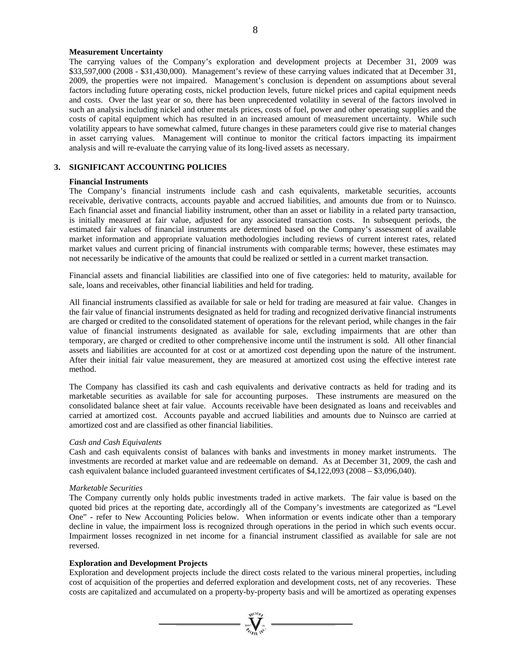# 8

#### **Measurement Uncertainty**

The carrying values of the Company's exploration and development projects at December 31, 2009 was \$33,597,000 (2008 - \$31,430,000). Management's review of these carrying values indicated that at December 31, 2009, the properties were not impaired. Management's conclusion is dependent on assumptions about several factors including future operating costs, nickel production levels, future nickel prices and capital equipment needs and costs. Over the last year or so, there has been unprecedented volatility in several of the factors involved in such an analysis including nickel and other metals prices, costs of fuel, power and other operating supplies and the costs of capital equipment which has resulted in an increased amount of measurement uncertainty. While such volatility appears to have somewhat calmed, future changes in these parameters could give rise to material changes in asset carrying values. Management will continue to monitor the critical factors impacting its impairment analysis and will re-evaluate the carrying value of its long-lived assets as necessary.

# **3. SIGNIFICANT ACCOUNTING POLICIES**

#### **Financial Instruments**

The Company's financial instruments include cash and cash equivalents, marketable securities, accounts receivable, derivative contracts, accounts payable and accrued liabilities, and amounts due from or to Nuinsco. Each financial asset and financial liability instrument, other than an asset or liability in a related party transaction, is initially measured at fair value, adjusted for any associated transaction costs. In subsequent periods, the estimated fair values of financial instruments are determined based on the Company's assessment of available market information and appropriate valuation methodologies including reviews of current interest rates, related market values and current pricing of financial instruments with comparable terms; however, these estimates may not necessarily be indicative of the amounts that could be realized or settled in a current market transaction.

Financial assets and financial liabilities are classified into one of five categories: held to maturity, available for sale, loans and receivables, other financial liabilities and held for trading.

All financial instruments classified as available for sale or held for trading are measured at fair value. Changes in the fair value of financial instruments designated as held for trading and recognized derivative financial instruments are charged or credited to the consolidated statement of operations for the relevant period, while changes in the fair value of financial instruments designated as available for sale, excluding impairments that are other than temporary, are charged or credited to other comprehensive income until the instrument is sold. All other financial assets and liabilities are accounted for at cost or at amortized cost depending upon the nature of the instrument. After their initial fair value measurement, they are measured at amortized cost using the effective interest rate method.

The Company has classified its cash and cash equivalents and derivative contracts as held for trading and its marketable securities as available for sale for accounting purposes. These instruments are measured on the consolidated balance sheet at fair value. Accounts receivable have been designated as loans and receivables and carried at amortized cost. Accounts payable and accrued liabilities and amounts due to Nuinsco are carried at amortized cost and are classified as other financial liabilities.

#### *Cash and Cash Equivalents*

Cash and cash equivalents consist of balances with banks and investments in money market instruments. The investments are recorded at market value and are redeemable on demand. As at December 31, 2009, the cash and cash equivalent balance included guaranteed investment certificates of \$4,122,093 (2008 – \$3,096,040).

#### *Marketable Securities*

The Company currently only holds public investments traded in active markets. The fair value is based on the quoted bid prices at the reporting date, accordingly all of the Company's investments are categorized as "Level One" - refer to New Accounting Policies below. When information or events indicate other than a temporary decline in value, the impairment loss is recognized through operations in the period in which such events occur. Impairment losses recognized in net income for a financial instrument classified as available for sale are not reversed.

#### **Exploration and Development Projects**

Exploration and development projects include the direct costs related to the various mineral properties, including cost of acquisition of the properties and deferred exploration and development costs, net of any recoveries. These costs are capitalized and accumulated on a property-by-property basis and will be amortized as operating expenses

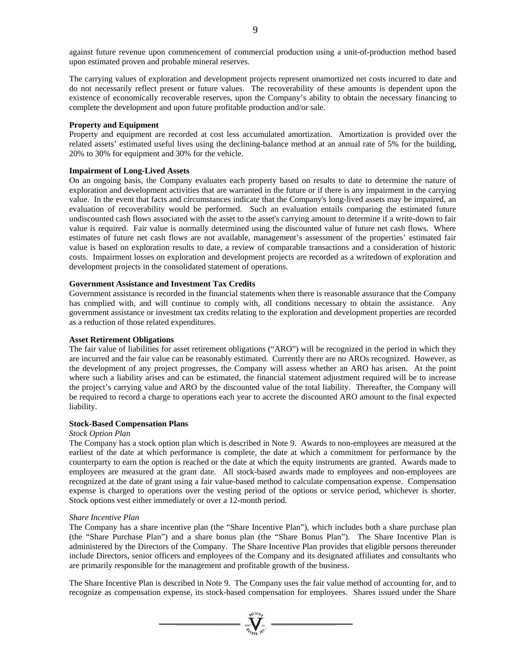against future revenue upon commencement of commercial production using a unit-of-production method based upon estimated proven and probable mineral reserves.

The carrying values of exploration and development projects represent unamortized net costs incurred to date and do not necessarily reflect present or future values. The recoverability of these amounts is dependent upon the existence of economically recoverable reserves, upon the Company's ability to obtain the necessary financing to complete the development and upon future profitable production and/or sale.

#### **Property and Equipment**

Property and equipment are recorded at cost less accumulated amortization. Amortization is provided over the related assets' estimated useful lives using the declining-balance method at an annual rate of 5% for the building, 20% to 30% for equipment and 30% for the vehicle.

#### **Impairment of Long-Lived Assets**

On an ongoing basis, the Company evaluates each property based on results to date to determine the nature of exploration and development activities that are warranted in the future or if there is any impairment in the carrying value. In the event that facts and circumstances indicate that the Company's long-lived assets may be impaired, an evaluation of recoverability would be performed. Such an evaluation entails comparing the estimated future undiscounted cash flows associated with the asset to the asset's carrying amount to determine if a write-down to fair value is required. Fair value is normally determined using the discounted value of future net cash flows. Where estimates of future net cash flows are not available, management's assessment of the properties' estimated fair value is based on exploration results to date, a review of comparable transactions and a consideration of historic costs. Impairment losses on exploration and development projects are recorded as a writedown of exploration and development projects in the consolidated statement of operations.

## **Government Assistance and Investment Tax Credits**

Government assistance is recorded in the financial statements when there is reasonable assurance that the Company has complied with, and will continue to comply with, all conditions necessary to obtain the assistance. Any government assistance or investment tax credits relating to the exploration and development properties are recorded as a reduction of those related expenditures.

# **Asset Retirement Obligations**

The fair value of liabilities for asset retirement obligations ("ARO") will be recognized in the period in which they are incurred and the fair value can be reasonably estimated. Currently there are no AROs recognized. However, as the development of any project progresses, the Company will assess whether an ARO has arisen. At the point where such a liability arises and can be estimated, the financial statement adjustment required will be to increase the project's carrying value and ARO by the discounted value of the total liability. Thereafter, the Company will be required to record a charge to operations each year to accrete the discounted ARO amount to the final expected liability.

#### **Stock-Based Compensation Plans**

#### *Stock Option Plan*

The Company has a stock option plan which is described in Note 9. Awards to non-employees are measured at the earliest of the date at which performance is complete, the date at which a commitment for performance by the counterparty to earn the option is reached or the date at which the equity instruments are granted. Awards made to employees are measured at the grant date. All stock-based awards made to employees and non-employees are recognized at the date of grant using a fair value-based method to calculate compensation expense. Compensation expense is charged to operations over the vesting period of the options or service period, whichever is shorter. Stock options vest either immediately or over a 12-month period.

#### *Share Incentive Plan*

The Company has a share incentive plan (the "Share Incentive Plan"), which includes both a share purchase plan (the "Share Purchase Plan") and a share bonus plan (the "Share Bonus Plan"). The Share Incentive Plan is administered by the Directors of the Company. The Share Incentive Plan provides that eligible persons thereunder include Directors, senior officers and employees of the Company and its designated affiliates and consultants who are primarily responsible for the management and profitable growth of the business.

The Share Incentive Plan is described in Note 9. The Company uses the fair value method of accounting for, and to recognize as compensation expense, its stock-based compensation for employees. Shares issued under the Share

 $\sum_{\alpha}$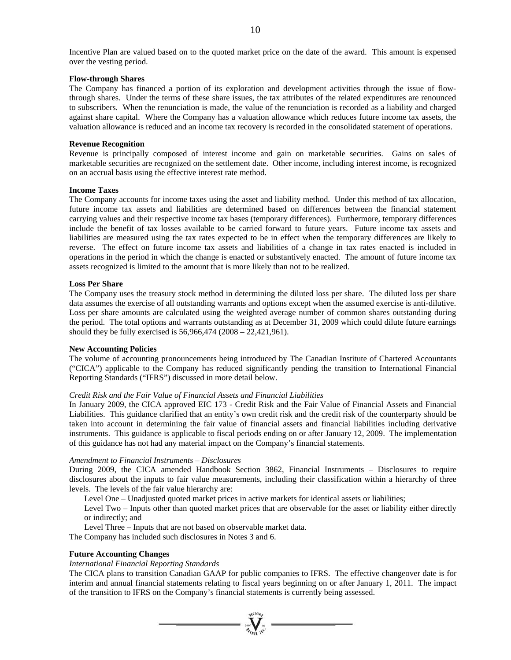#### **Flow-through Shares**

The Company has financed a portion of its exploration and development activities through the issue of flowthrough shares. Under the terms of these share issues, the tax attributes of the related expenditures are renounced to subscribers. When the renunciation is made, the value of the renunciation is recorded as a liability and charged against share capital. Where the Company has a valuation allowance which reduces future income tax assets, the valuation allowance is reduced and an income tax recovery is recorded in the consolidated statement of operations.

#### **Revenue Recognition**

Revenue is principally composed of interest income and gain on marketable securities. Gains on sales of marketable securities are recognized on the settlement date. Other income, including interest income, is recognized on an accrual basis using the effective interest rate method.

#### **Income Taxes**

The Company accounts for income taxes using the asset and liability method. Under this method of tax allocation, future income tax assets and liabilities are determined based on differences between the financial statement carrying values and their respective income tax bases (temporary differences). Furthermore, temporary differences include the benefit of tax losses available to be carried forward to future years. Future income tax assets and liabilities are measured using the tax rates expected to be in effect when the temporary differences are likely to reverse. The effect on future income tax assets and liabilities of a change in tax rates enacted is included in operations in the period in which the change is enacted or substantively enacted. The amount of future income tax assets recognized is limited to the amount that is more likely than not to be realized.

#### **Loss Per Share**

The Company uses the treasury stock method in determining the diluted loss per share. The diluted loss per share data assumes the exercise of all outstanding warrants and options except when the assumed exercise is anti-dilutive. Loss per share amounts are calculated using the weighted average number of common shares outstanding during the period. The total options and warrants outstanding as at December 31, 2009 which could dilute future earnings should they be fully exercised is 56,966,474 (2008 – 22,421,961).

#### **New Accounting Policies**

The volume of accounting pronouncements being introduced by The Canadian Institute of Chartered Accountants ("CICA") applicable to the Company has reduced significantly pending the transition to International Financial Reporting Standards ("IFRS") discussed in more detail below.

#### *Credit Risk and the Fair Value of Financial Assets and Financial Liabilities*

In January 2009, the CICA approved EIC 173 - Credit Risk and the Fair Value of Financial Assets and Financial Liabilities. This guidance clarified that an entity's own credit risk and the credit risk of the counterparty should be taken into account in determining the fair value of financial assets and financial liabilities including derivative instruments. This guidance is applicable to fiscal periods ending on or after January 12, 2009. The implementation of this guidance has not had any material impact on the Company's financial statements.

#### *Amendment to Financial Instruments – Disclosures*

During 2009, the CICA amended Handbook Section 3862, Financial Instruments – Disclosures to require disclosures about the inputs to fair value measurements, including their classification within a hierarchy of three levels. The levels of the fair value hierarchy are:

Level One – Unadjusted quoted market prices in active markets for identical assets or liabilities;

Level Two – Inputs other than quoted market prices that are observable for the asset or liability either directly or indirectly; and

Level Three – Inputs that are not based on observable market data.

The Company has included such disclosures in Notes 3 and 6.

#### **Future Accounting Changes**

# *International Financial Reporting Standards*

The CICA plans to transition Canadian GAAP for public companies to IFRS. The effective changeover date is for interim and annual financial statements relating to fiscal years beginning on or after January 1, 2011. The impact of the transition to IFRS on the Company's financial statements is currently being assessed.

 $\sum_{\alpha}$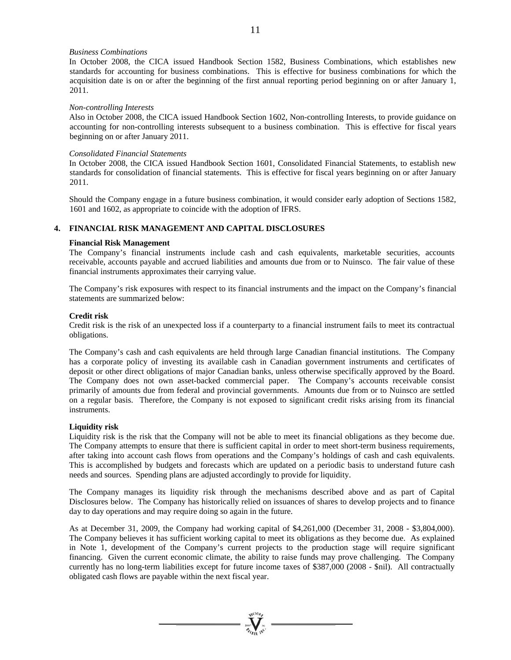## *Business Combinations*

In October 2008, the CICA issued Handbook Section 1582, Business Combinations, which establishes new standards for accounting for business combinations. This is effective for business combinations for which the acquisition date is on or after the beginning of the first annual reporting period beginning on or after January 1, 2011.

#### *Non-controlling Interests*

Also in October 2008, the CICA issued Handbook Section 1602, Non-controlling Interests, to provide guidance on accounting for non-controlling interests subsequent to a business combination. This is effective for fiscal years beginning on or after January 2011.

# *Consolidated Financial Statements*

In October 2008, the CICA issued Handbook Section 1601, Consolidated Financial Statements, to establish new standards for consolidation of financial statements. This is effective for fiscal years beginning on or after January 2011.

Should the Company engage in a future business combination, it would consider early adoption of Sections 1582, 1601 and 1602, as appropriate to coincide with the adoption of IFRS.

# **4. FINANCIAL RISK MANAGEMENT AND CAPITAL DISCLOSURES**

# **Financial Risk Management**

The Company's financial instruments include cash and cash equivalents, marketable securities, accounts receivable, accounts payable and accrued liabilities and amounts due from or to Nuinsco. The fair value of these financial instruments approximates their carrying value.

The Company's risk exposures with respect to its financial instruments and the impact on the Company's financial statements are summarized below:

# **Credit risk**

Credit risk is the risk of an unexpected loss if a counterparty to a financial instrument fails to meet its contractual obligations.

The Company's cash and cash equivalents are held through large Canadian financial institutions. The Company has a corporate policy of investing its available cash in Canadian government instruments and certificates of deposit or other direct obligations of major Canadian banks, unless otherwise specifically approved by the Board. The Company does not own asset-backed commercial paper. The Company's accounts receivable consist primarily of amounts due from federal and provincial governments. Amounts due from or to Nuinsco are settled on a regular basis. Therefore, the Company is not exposed to significant credit risks arising from its financial instruments.

# **Liquidity risk**

Liquidity risk is the risk that the Company will not be able to meet its financial obligations as they become due. The Company attempts to ensure that there is sufficient capital in order to meet short-term business requirements, after taking into account cash flows from operations and the Company's holdings of cash and cash equivalents. This is accomplished by budgets and forecasts which are updated on a periodic basis to understand future cash needs and sources. Spending plans are adjusted accordingly to provide for liquidity.

The Company manages its liquidity risk through the mechanisms described above and as part of Capital Disclosures below. The Company has historically relied on issuances of shares to develop projects and to finance day to day operations and may require doing so again in the future.

As at December 31, 2009, the Company had working capital of \$4,261,000 (December 31, 2008 - \$3,804,000). The Company believes it has sufficient working capital to meet its obligations as they become due. As explained in Note 1, development of the Company's current projects to the production stage will require significant financing. Given the current economic climate, the ability to raise funds may prove challenging. The Company currently has no long-term liabilities except for future income taxes of \$387,000 (2008 - \$nil). All contractually obligated cash flows are payable within the next fiscal year.

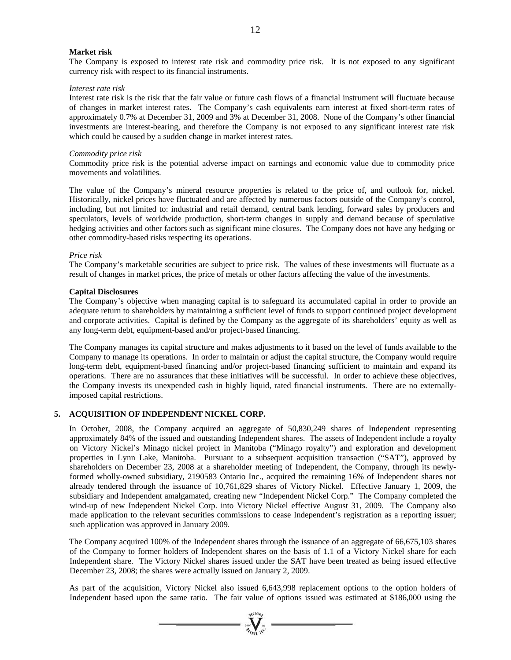#### **Market risk**

The Company is exposed to interest rate risk and commodity price risk. It is not exposed to any significant currency risk with respect to its financial instruments.

#### *Interest rate risk*

Interest rate risk is the risk that the fair value or future cash flows of a financial instrument will fluctuate because of changes in market interest rates. The Company's cash equivalents earn interest at fixed short-term rates of approximately 0.7% at December 31, 2009 and 3% at December 31, 2008. None of the Company's other financial investments are interest-bearing, and therefore the Company is not exposed to any significant interest rate risk which could be caused by a sudden change in market interest rates.

#### *Commodity price risk*

Commodity price risk is the potential adverse impact on earnings and economic value due to commodity price movements and volatilities.

The value of the Company's mineral resource properties is related to the price of, and outlook for, nickel. Historically, nickel prices have fluctuated and are affected by numerous factors outside of the Company's control, including, but not limited to: industrial and retail demand, central bank lending, forward sales by producers and speculators, levels of worldwide production, short-term changes in supply and demand because of speculative hedging activities and other factors such as significant mine closures. The Company does not have any hedging or other commodity-based risks respecting its operations.

#### *Price risk*

The Company's marketable securities are subject to price risk. The values of these investments will fluctuate as a result of changes in market prices, the price of metals or other factors affecting the value of the investments.

#### **Capital Disclosures**

The Company's objective when managing capital is to safeguard its accumulated capital in order to provide an adequate return to shareholders by maintaining a sufficient level of funds to support continued project development and corporate activities. Capital is defined by the Company as the aggregate of its shareholders' equity as well as any long-term debt, equipment-based and/or project-based financing.

The Company manages its capital structure and makes adjustments to it based on the level of funds available to the Company to manage its operations. In order to maintain or adjust the capital structure, the Company would require long-term debt, equipment-based financing and/or project-based financing sufficient to maintain and expand its operations. There are no assurances that these initiatives will be successful. In order to achieve these objectives, the Company invests its unexpended cash in highly liquid, rated financial instruments. There are no externallyimposed capital restrictions.

## **5. ACQUISITION OF INDEPENDENT NICKEL CORP.**

In October, 2008, the Company acquired an aggregate of 50,830,249 shares of Independent representing approximately 84% of the issued and outstanding Independent shares. The assets of Independent include a royalty on Victory Nickel's Minago nickel project in Manitoba ("Minago royalty") and exploration and development properties in Lynn Lake, Manitoba. Pursuant to a subsequent acquisition transaction ("SAT"), approved by shareholders on December 23, 2008 at a shareholder meeting of Independent, the Company, through its newlyformed wholly-owned subsidiary, 2190583 Ontario Inc., acquired the remaining 16% of Independent shares not already tendered through the issuance of 10,761,829 shares of Victory Nickel. Effective January 1, 2009, the subsidiary and Independent amalgamated, creating new "Independent Nickel Corp." The Company completed the wind-up of new Independent Nickel Corp. into Victory Nickel effective August 31, 2009. The Company also made application to the relevant securities commissions to cease Independent's registration as a reporting issuer; such application was approved in January 2009.

The Company acquired 100% of the Independent shares through the issuance of an aggregate of 66,675,103 shares of the Company to former holders of Independent shares on the basis of 1.1 of a Victory Nickel share for each Independent share. The Victory Nickel shares issued under the SAT have been treated as being issued effective December 23, 2008; the shares were actually issued on January 2, 2009.

As part of the acquisition, Victory Nickel also issued 6,643,998 replacement options to the option holders of Independent based upon the same ratio. The fair value of options issued was estimated at \$186,000 using the

 $\sum_{\alpha}$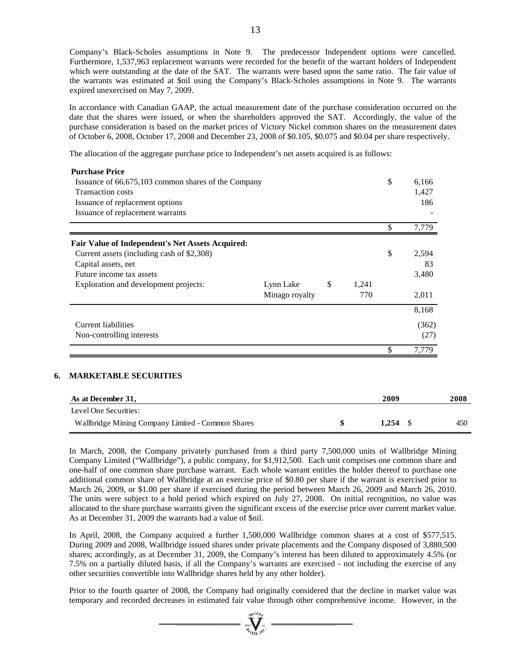Company's Black-Scholes assumptions in Note 9. The predecessor Independent options were cancelled. Furthermore, 1,537,963 replacement warrants were recorded for the benefit of the warrant holders of Independent which were outstanding at the date of the SAT. The warrants were based upon the same ratio. The fair value of the warrants was estimated at \$nil using the Company's Black-Scholes assumptions in Note 9. The warrants expired unexercised on May 7, 2009.

In accordance with Canadian GAAP, the actual measurement date of the purchase consideration occurred on the date that the shares were issued, or when the shareholders approved the SAT. Accordingly, the value of the purchase consideration is based on the market prices of Victory Nickel common shares on the measurement dates of October 6, 2008, October 17, 2008 and December 23, 2008 of \$0.105, \$0.075 and \$0.04 per share respectively.

The allocation of the aggregate purchase price to Independent's net assets acquired is as follows:

| <b>MARKETABLE SECURITIES</b>                                                                   |                |              |       |             |
|------------------------------------------------------------------------------------------------|----------------|--------------|-------|-------------|
|                                                                                                |                |              |       | \$<br>7,779 |
| Non-controlling interests                                                                      |                |              |       | (27)        |
| <b>Current liabilities</b>                                                                     |                |              |       | (362)       |
|                                                                                                |                |              |       | 8,168       |
|                                                                                                | Minago royalty |              | 770   | 2,011       |
| Exploration and development projects:                                                          | Lynn Lake      | $\mathbb{S}$ | 1,241 |             |
| Future income tax assets                                                                       |                |              |       | 3,480       |
| Capital assets, net                                                                            |                |              |       | 83          |
| Fair Value of Independent's Net Assets Acquired:<br>Current assets (including cash of \$2,308) |                |              |       | \$<br>2,594 |
|                                                                                                |                |              |       | \$<br>7,779 |
| Issuance of replacement warrants                                                               |                |              |       |             |
| Issuance of replacement options                                                                |                |              |       | 186         |
| <b>Transaction costs</b>                                                                       |                |              |       | 1,427       |
| Issuance of 66,675,103 common shares of the Company                                            |                |              |       | \$<br>6,166 |

| As at December 31,                                | 2009  | 2008 |
|---------------------------------------------------|-------|------|
| Level One Securities:                             |       |      |
| Wallbridge Mining Company Limited - Common Shares | 1.254 | 450  |

In March, 2008, the Company privately purchased from a third party 7,500,000 units of Wallbridge Mining Company Limited ("Wallbridge"), a public company, for \$1,912,500. Each unit comprises one common share and one-half of one common share purchase warrant. Each whole warrant entitles the holder thereof to purchase one additional common share of Wallbridge at an exercise price of \$0.80 per share if the warrant is exercised prior to March 26, 2009, or \$1.00 per share if exercised during the period between March 26, 2009 and March 26, 2010. The units were subject to a hold period which expired on July 27, 2008. On initial recognition, no value was allocated to the share purchase warrants given the significant excess of the exercise price over current market value. As at December 31, 2009 the warrants had a value of \$nil.

In April, 2008, the Company acquired a further 1,500,000 Wallbridge common shares at a cost of \$577,515. During 2009 and 2008, Wallbridge issued shares under private placements and the Company disposed of 3,880,500 shares; accordingly, as at December 31, 2009, the Company's interest has been diluted to approximately 4.5% (or 7.5% on a partially diluted basis, if all the Company's warrants are exercised - not including the exercise of any other securities convertible into Wallbridge shares held by any other holder).

Prior to the fourth quarter of 2008, the Company had originally considered that the decline in market value was temporary and recorded decreases in estimated fair value through other comprehensive income. However, in the

=  $\sum_{y \in V(G)}$  =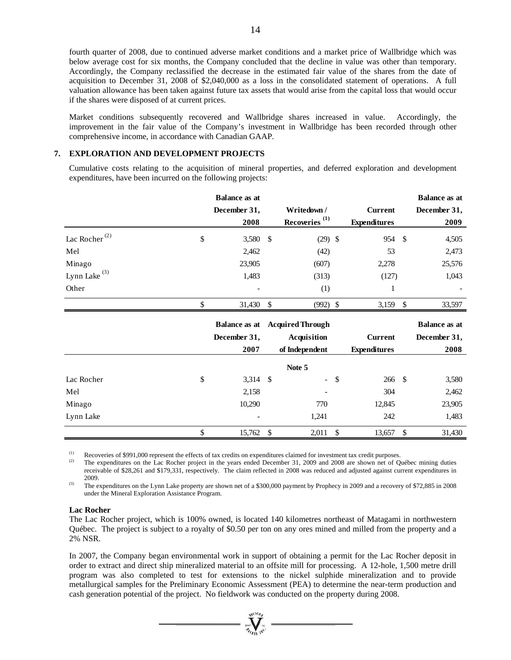fourth quarter of 2008, due to continued adverse market conditions and a market price of Wallbridge which was below average cost for six months, the Company concluded that the decline in value was other than temporary. Accordingly, the Company reclassified the decrease in the estimated fair value of the shares from the date of acquisition to December 31, 2008 of \$2,040,000 as a loss in the consolidated statement of operations. A full valuation allowance has been taken against future tax assets that would arise from the capital loss that would occur if the shares were disposed of at current prices.

Market conditions subsequently recovered and Wallbridge shares increased in value. Accordingly, the improvement in the fair value of the Company's investment in Wallbridge has been recorded through other comprehensive income, in accordance with Canadian GAAP.

# **7. EXPLORATION AND DEVELOPMENT PROJECTS**

Cumulative costs relating to the acquisition of mineral properties, and deferred exploration and development expenditures, have been incurred on the following projects:

|                           | <b>Balance as at</b> |                                       |                     |               | <b>Balance</b> as at |
|---------------------------|----------------------|---------------------------------------|---------------------|---------------|----------------------|
|                           | December 31,         | Writedown /                           | <b>Current</b>      |               | December 31,         |
|                           | 2008                 | Recoveries <sup>(1)</sup>             | <b>Expenditures</b> |               | 2009                 |
| Lac Rocher <sup>(2)</sup> | \$<br>3,580 \$       | $(29)$ \$                             | 954                 | $\mathcal{S}$ | 4,505                |
| Mel                       | 2,462                | (42)                                  | 53                  |               | 2,473                |
| Minago                    | 23,905               | (607)                                 | 2,278               |               | 25,576               |
| Lynn Lake $(3)$           | 1,483                | (313)                                 | (127)               |               | 1,043                |
| Other                     |                      | (1)                                   | 1                   |               |                      |
|                           | \$<br>31,430 \$      | $(992)$ \$                            | 3,159               | $\mathcal{S}$ | 33,597               |
|                           |                      |                                       |                     |               |                      |
|                           |                      | <b>Balance as at Acquired Through</b> |                     |               | <b>Balance as at</b> |
|                           | December 31,         | <b>Acquisition</b>                    | <b>Current</b>      |               | December 31,         |
|                           | 2007                 | of Independent                        | <b>Expenditures</b> |               | 2008                 |
|                           |                      | Note 5                                |                     |               |                      |
| Lac Rocher                | \$<br>$3,314$ \$     | $\sim$                                | \$<br>266           | - \$          | 3,580                |
| Mel                       | 2,158                |                                       | 304                 |               | 2,462                |
| Minago                    | 10,290               | 770                                   | 12,845              |               | 23,905               |
| Lynn Lake                 |                      | 1,241                                 | 242                 |               | 1,483                |

(1) Recoveries of \$991,000 represent the effects of tax credits on expenditures claimed for investment tax credit purposes.<br>
The expenditures on the Lac Rocher project in the years ended December 31, 2009 and 2008 are sho receivable of \$28,261 and \$179,331, respectively. The claim reflected in 2008 was reduced and adjusted against current expenditures in

2009.<br><sup>(3)</sup> The expenditures on the Lynn Lake property are shown net of a \$300,000 payment by Prophecy in 2009 and a recovery of \$72,885 in 2008 under the Mineral Exploration Assistance Program.

#### **Lac Rocher**

The Lac Rocher project, which is 100% owned, is located 140 kilometres northeast of Matagami in northwestern Québec. The project is subject to a royalty of \$0.50 per ton on any ores mined and milled from the property and a 2% NSR.

In 2007, the Company began environmental work in support of obtaining a permit for the Lac Rocher deposit in order to extract and direct ship mineralized material to an offsite mill for processing. A 12-hole, 1,500 metre drill program was also completed to test for extensions to the nickel sulphide mineralization and to provide metallurgical samples for the Preliminary Economic Assessment (PEA) to determine the near-term production and cash generation potential of the project. No fieldwork was conducted on the property during 2008.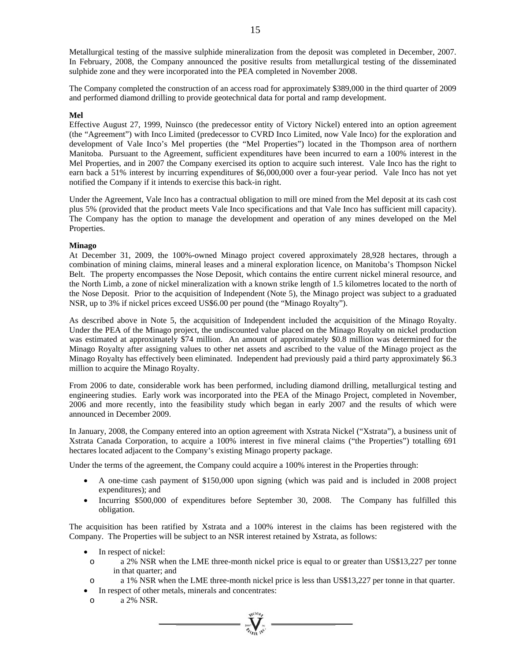Metallurgical testing of the massive sulphide mineralization from the deposit was completed in December, 2007. In February, 2008, the Company announced the positive results from metallurgical testing of the disseminated sulphide zone and they were incorporated into the PEA completed in November 2008.

The Company completed the construction of an access road for approximately \$389,000 in the third quarter of 2009 and performed diamond drilling to provide geotechnical data for portal and ramp development.

#### **Mel**

Effective August 27, 1999, Nuinsco (the predecessor entity of Victory Nickel) entered into an option agreement (the "Agreement") with Inco Limited (predecessor to CVRD Inco Limited, now Vale Inco) for the exploration and development of Vale Inco's Mel properties (the "Mel Properties") located in the Thompson area of northern Manitoba. Pursuant to the Agreement, sufficient expenditures have been incurred to earn a 100% interest in the Mel Properties, and in 2007 the Company exercised its option to acquire such interest. Vale Inco has the right to earn back a 51% interest by incurring expenditures of \$6,000,000 over a four-year period. Vale Inco has not yet notified the Company if it intends to exercise this back-in right.

Under the Agreement, Vale Inco has a contractual obligation to mill ore mined from the Mel deposit at its cash cost plus 5% (provided that the product meets Vale Inco specifications and that Vale Inco has sufficient mill capacity). The Company has the option to manage the development and operation of any mines developed on the Mel Properties.

#### **Minago**

At December 31, 2009, the 100%-owned Minago project covered approximately 28,928 hectares, through a combination of mining claims, mineral leases and a mineral exploration licence, on Manitoba's Thompson Nickel Belt. The property encompasses the Nose Deposit, which contains the entire current nickel mineral resource, and the North Limb, a zone of nickel mineralization with a known strike length of 1.5 kilometres located to the north of the Nose Deposit. Prior to the acquisition of Independent (Note 5), the Minago project was subject to a graduated NSR, up to 3% if nickel prices exceed US\$6.00 per pound (the "Minago Royalty").

As described above in Note 5, the acquisition of Independent included the acquisition of the Minago Royalty. Under the PEA of the Minago project, the undiscounted value placed on the Minago Royalty on nickel production was estimated at approximately \$74 million. An amount of approximately \$0.8 million was determined for the Minago Royalty after assigning values to other net assets and ascribed to the value of the Minago project as the Minago Royalty has effectively been eliminated. Independent had previously paid a third party approximately \$6.3 million to acquire the Minago Royalty.

From 2006 to date, considerable work has been performed, including diamond drilling, metallurgical testing and engineering studies. Early work was incorporated into the PEA of the Minago Project, completed in November, 2006 and more recently, into the feasibility study which began in early 2007 and the results of which were announced in December 2009.

In January, 2008, the Company entered into an option agreement with Xstrata Nickel ("Xstrata"), a business unit of Xstrata Canada Corporation, to acquire a 100% interest in five mineral claims ("the Properties") totalling 691 hectares located adjacent to the Company's existing Minago property package.

Under the terms of the agreement, the Company could acquire a 100% interest in the Properties through:

- A one-time cash payment of \$150,000 upon signing (which was paid and is included in 2008 project expenditures); and
- Incurring \$500,000 of expenditures before September 30, 2008. The Company has fulfilled this obligation.

The acquisition has been ratified by Xstrata and a 100% interest in the claims has been registered with the Company. The Properties will be subject to an NSR interest retained by Xstrata, as follows:

- In respect of nickel:
- o a 2% NSR when the LME three-month nickel price is equal to or greater than US\$13,227 per tonne in that quarter; and
- o a 1% NSR when the LME three-month nickel price is less than US\$13,227 per tonne in that quarter.

 $\sum_{\alpha}$ 

- In respect of other metals, minerals and concentrates:
- o a 2% NSR.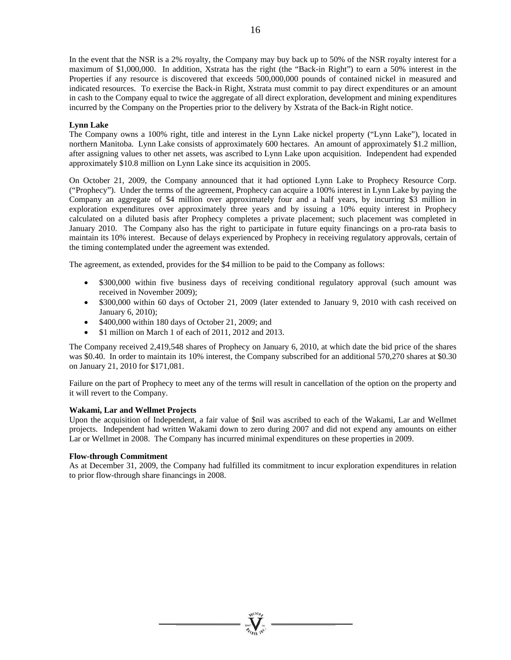In the event that the NSR is a 2% royalty, the Company may buy back up to 50% of the NSR royalty interest for a maximum of \$1,000,000. In addition, Xstrata has the right (the "Back-in Right") to earn a 50% interest in the Properties if any resource is discovered that exceeds 500,000,000 pounds of contained nickel in measured and indicated resources. To exercise the Back-in Right, Xstrata must commit to pay direct expenditures or an amount in cash to the Company equal to twice the aggregate of all direct exploration, development and mining expenditures incurred by the Company on the Properties prior to the delivery by Xstrata of the Back-in Right notice.

# **Lynn Lake**

The Company owns a 100% right, title and interest in the Lynn Lake nickel property ("Lynn Lake"), located in northern Manitoba. Lynn Lake consists of approximately 600 hectares. An amount of approximately \$1.2 million, after assigning values to other net assets, was ascribed to Lynn Lake upon acquisition. Independent had expended approximately \$10.8 million on Lynn Lake since its acquisition in 2005.

On October 21, 2009, the Company announced that it had optioned Lynn Lake to Prophecy Resource Corp. ("Prophecy"). Under the terms of the agreement, Prophecy can acquire a 100% interest in Lynn Lake by paying the Company an aggregate of \$4 million over approximately four and a half years, by incurring \$3 million in exploration expenditures over approximately three years and by issuing a 10% equity interest in Prophecy calculated on a diluted basis after Prophecy completes a private placement; such placement was completed in January 2010. The Company also has the right to participate in future equity financings on a pro-rata basis to maintain its 10% interest. Because of delays experienced by Prophecy in receiving regulatory approvals, certain of the timing contemplated under the agreement was extended.

The agreement, as extended, provides for the \$4 million to be paid to the Company as follows:

- \$300,000 within five business days of receiving conditional regulatory approval (such amount was received in November 2009);
- \$300,000 within 60 days of October 21, 2009 (later extended to January 9, 2010 with cash received on January 6, 2010);
- $\bullet$  \$400,000 within 180 days of October 21, 2009; and
- \$1 million on March 1 of each of 2011, 2012 and 2013.

The Company received 2,419,548 shares of Prophecy on January 6, 2010, at which date the bid price of the shares was \$0.40. In order to maintain its 10% interest, the Company subscribed for an additional 570,270 shares at \$0.30 on January 21, 2010 for \$171,081.

Failure on the part of Prophecy to meet any of the terms will result in cancellation of the option on the property and it will revert to the Company.

#### **Wakami, Lar and Wellmet Projects**

Upon the acquisition of Independent, a fair value of \$nil was ascribed to each of the Wakami, Lar and Wellmet projects. Independent had written Wakami down to zero during 2007 and did not expend any amounts on either Lar or Wellmet in 2008. The Company has incurred minimal expenditures on these properties in 2009.

#### **Flow-through Commitment**

As at December 31, 2009, the Company had fulfilled its commitment to incur exploration expenditures in relation to prior flow-through share financings in 2008.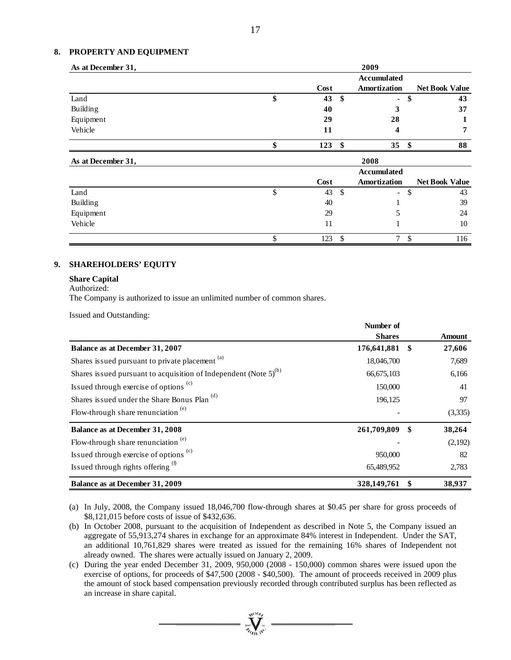#### **8. PROPERTY AND EQUIPMENT**

| As at December 31, |    |      |    | 2009               |                       |
|--------------------|----|------|----|--------------------|-----------------------|
|                    |    |      |    | <b>Accumulated</b> |                       |
|                    |    | Cost |    | Amortization       | <b>Net Book Value</b> |
| Land               | ۰Ф | 43   | -S | ÷,                 | \$<br>43              |
| <b>Building</b>    |    | 40   |    |                    | 37                    |
| Equipment          |    | 29   |    | 28                 |                       |
| Vehicle            |    | 11   |    |                    |                       |
|                    |    | 123  | S  | 35                 | 88                    |

| As at December 31, |   |      |               | 2008                     |    |                       |
|--------------------|---|------|---------------|--------------------------|----|-----------------------|
|                    |   |      |               | <b>Accumulated</b>       |    |                       |
|                    |   | Cost |               | Amortization             |    | <b>Net Book Value</b> |
| Land               | Φ | 43   | <sup>\$</sup> | $\overline{\phantom{a}}$ | ۰D | 43                    |
| <b>Building</b>    |   | 40   |               |                          |    | 39                    |
| Equipment          |   | 29   |               |                          |    | 24                    |
| Vehicle            |   | 11   |               |                          |    | 10                    |
|                    |   | 123  |               | $\tau$                   |    | 116                   |

# **9. SHAREHOLDERS' EQUITY**

#### **Share Capital**

Authorized:

The Company is authorized to issue an unlimited number of common shares.

Issued and Outstanding:

|                                                                   | Number of      |     |               |
|-------------------------------------------------------------------|----------------|-----|---------------|
|                                                                   | <b>Shares</b>  |     | <b>Amount</b> |
| Balance as at December 31, 2007                                   | 176,641,881 \$ |     | 27,606        |
| Shares issued pursuant to private placement <sup>(a)</sup>        | 18,046,700     |     | 7,689         |
| Shares issued pursuant to acquisition of Independent (Note $5(b)$ | 66,675,103     |     | 6,166         |
| Issued through exercise of options <sup>(c)</sup>                 | 150,000        |     | 41            |
| Shares issued under the Share Bonus Plan <sup>(d)</sup>           | 196,125        |     | 97            |
| Flow-through share renunciation $(e)$                             |                |     | (3,335)       |
| <b>Balance as at December 31, 2008</b>                            | 261,709,809    | -SS | 38,264        |
| Flow-through share renunciation <sup>(e)</sup>                    |                |     | (2,192)       |
| Issued through exercise of options <sup>(c)</sup>                 | 950,000        |     | 82            |
| Issued through rights offering $(f)$                              | 65,489,952     |     | 2,783         |
| Balance as at December 31, 2009                                   | 328,149,761    |     | 38,937        |

- (a) In July, 2008, the Company issued 18,046,700 flow-through shares at \$0.45 per share for gross proceeds of \$8,121,015 before costs of issue of \$432,636.
- (b) In October 2008, pursuant to the acquisition of Independent as described in Note 5, the Company issued an aggregate of 55,913,274 shares in exchange for an approximate 84% interest in Independent. Under the SAT, an additional 10,761,829 shares were treated as issued for the remaining 16% shares of Independent not already owned. The shares were actually issued on January 2, 2009.
- (c) During the year ended December 31, 2009, 950,000 (2008 150,000) common shares were issued upon the exercise of options, for proceeds of \$47,500 (2008 - \$40,500). The amount of proceeds received in 2009 plus the amount of stock based compensation previously recorded through contributed surplus has been reflected as an increase in share capital.

 $\sum_{\substack{300\\ \text{of } \text{odd } \text{odd}}}^{\text{Nldoh}}$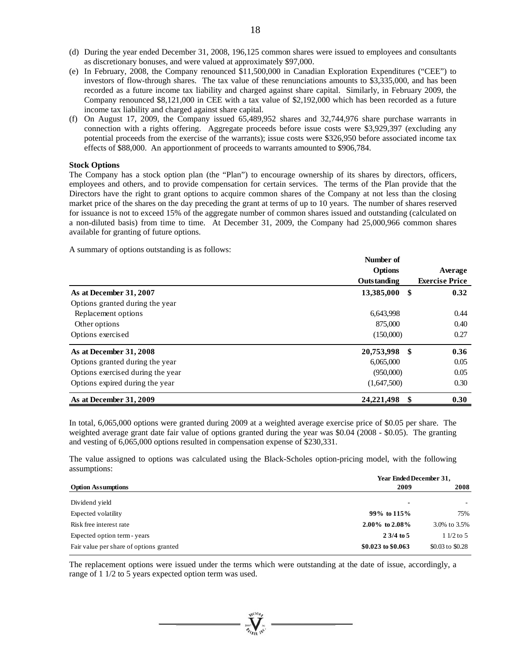- (d) During the year ended December 31, 2008, 196,125 common shares were issued to employees and consultants as discretionary bonuses, and were valued at approximately \$97,000.
- (e) In February, 2008, the Company renounced \$11,500,000 in Canadian Exploration Expenditures ("CEE") to investors of flow-through shares. The tax value of these renunciations amounts to \$3,335,000, and has been recorded as a future income tax liability and charged against share capital. Similarly, in February 2009, the Company renounced \$8,121,000 in CEE with a tax value of \$2,192,000 which has been recorded as a future income tax liability and charged against share capital.
- (f) On August 17, 2009, the Company issued 65,489,952 shares and 32,744,976 share purchase warrants in connection with a rights offering. Aggregate proceeds before issue costs were \$3,929,397 (excluding any potential proceeds from the exercise of the warrants); issue costs were \$326,950 before associated income tax effects of \$88,000. An apportionment of proceeds to warrants amounted to \$906,784.

#### **Stock Options**

The Company has a stock option plan (the "Plan") to encourage ownership of its shares by directors, officers, employees and others, and to provide compensation for certain services. The terms of the Plan provide that the Directors have the right to grant options to acquire common shares of the Company at not less than the closing market price of the shares on the day preceding the grant at terms of up to 10 years. The number of shares reserved for issuance is not to exceed 15% of the aggregate number of common shares issued and outstanding (calculated on a non-diluted basis) from time to time. At December 31, 2009, the Company had 25,000,966 common shares available for granting of future options.

A summary of options outstanding is as follows:

|                                   | Number of<br><b>Options</b> |      | Average               |
|-----------------------------------|-----------------------------|------|-----------------------|
|                                   | Outstanding                 |      | <b>Exercise Price</b> |
| As at December 31, 2007           | 13,385,000                  | - \$ | 0.32                  |
| Options granted during the year   |                             |      |                       |
| Replacement options               | 6,643,998                   |      | 0.44                  |
| Other options                     | 875,000                     |      | 0.40                  |
| Options exercised                 | (150,000)                   |      | 0.27                  |
| As at December 31, 2008           | 20,753,998                  | -\$  | 0.36                  |
| Options granted during the year   | 6,065,000                   |      | 0.05                  |
| Options exercised during the year | (950,000)                   |      | 0.05                  |
| Options expired during the year   | (1,647,500)                 |      | 0.30                  |
| As at December 31, 2009           | 24,221,498                  | -\$  | 0.30                  |

In total, 6,065,000 options were granted during 2009 at a weighted average exercise price of \$0.05 per share. The weighted average grant date fair value of options granted during the year was \$0.04 (2008 - \$0.05). The granting and vesting of 6,065,000 options resulted in compensation expense of \$230,331.

The value assigned to options was calculated using the Black-Scholes option-pricing model, with the following assumptions:

|                                         | Year Ended December 31, |                  |  |  |  |
|-----------------------------------------|-------------------------|------------------|--|--|--|
| <b>Option Assumptions</b>               | 2009                    | 2008             |  |  |  |
| Dividend yield                          | $\blacksquare$          |                  |  |  |  |
| Expected volatility                     | 99% to $115%$           | 75%              |  |  |  |
| Risk free interest rate                 | 2.00% to $2.08\%$       | 3.0% to 3.5%     |  |  |  |
| Expected option term - years            | $2.3/4$ to 5            | $11/2$ to 5      |  |  |  |
| Fair value per share of options granted | \$0.023 to \$0.063      | \$0.03 to \$0.28 |  |  |  |

The replacement options were issued under the terms which were outstanding at the date of issue, accordingly, a range of 1 1/2 to 5 years expected option term was used.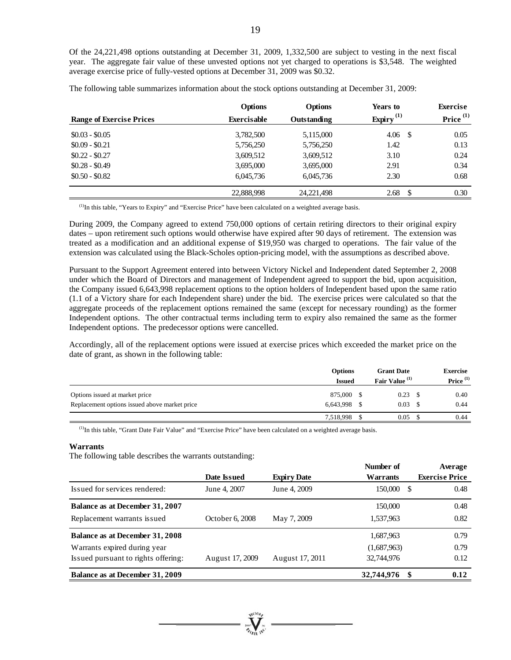Of the 24,221,498 options outstanding at December 31, 2009, 1,332,500 are subject to vesting in the next fiscal year. The aggregate fair value of these unvested options not yet charged to operations is \$3,548. The weighted average exercise price of fully-vested options at December 31, 2009 was \$0.32.

The following table summarizes information about the stock options outstanding at December 31, 2009:

| <b>Range of Exercise Prices</b> | <b>Options</b><br><b>Exercisable</b> | <b>Options</b><br><b>Outstanding</b> | Years to<br>Expiry $^{(1)}$ | <b>Exercise</b><br>Price <sup>(1)</sup> |
|---------------------------------|--------------------------------------|--------------------------------------|-----------------------------|-----------------------------------------|
| $$0.03 - $0.05$                 | 3,782,500                            | 5,115,000                            | 4.06<br>- \$                | 0.05                                    |
| $$0.09 - $0.21$                 | 5,756,250                            | 5,756,250                            | 1.42                        | 0.13                                    |
| $$0.22 - $0.27$                 | 3,609,512                            | 3,609,512                            | 3.10                        | 0.24                                    |
| $$0.28 - $0.49$                 | 3,695,000                            | 3,695,000                            | 2.91                        | 0.34                                    |
| $$0.50 - $0.82$$                | 6.045.736                            | 6,045,736                            | 2.30                        | 0.68                                    |
|                                 | 22,888,998                           | 24, 221, 498                         | 2.68<br>-S                  | 0.30                                    |

(1)In this table, "Years to Expiry" and "Exercise Price" have been calculated on a weighted average basis.

During 2009, the Company agreed to extend 750,000 options of certain retiring directors to their original expiry dates – upon retirement such options would otherwise have expired after 90 days of retirement. The extension was treated as a modification and an additional expense of \$19,950 was charged to operations. The fair value of the extension was calculated using the Black-Scholes option-pricing model, with the assumptions as described above.

Pursuant to the Support Agreement entered into between Victory Nickel and Independent dated September 2, 2008 under which the Board of Directors and management of Independent agreed to support the bid, upon acquisition, the Company issued 6,643,998 replacement options to the option holders of Independent based upon the same ratio (1.1 of a Victory share for each Independent share) under the bid. The exercise prices were calculated so that the aggregate proceeds of the replacement options remained the same (except for necessary rounding) as the former Independent options. The other contractual terms including term to expiry also remained the same as the former Independent options. The predecessor options were cancelled.

Accordingly, all of the replacement options were issued at exercise prices which exceeded the market price on the date of grant, as shown in the following table:

|                                                                                 | <b>Options</b>       |  |                           | <b>Grant Date</b> |                      |  | <b>Exercise</b> |
|---------------------------------------------------------------------------------|----------------------|--|---------------------------|-------------------|----------------------|--|-----------------|
|                                                                                 | <b>Issued</b>        |  | Fair Value <sup>(1)</sup> |                   | Price <sup>(1)</sup> |  |                 |
| Options issued at market price<br>Replacement options issued above market price | 875.000<br>6,643,998 |  | 0.23<br>0.03              | - 8               | 0.40<br>0.44         |  |                 |
|                                                                                 | 7,518,998            |  | 0.05                      |                   | 0.44                 |  |                 |

(1)In this table, "Grant Date Fair Value" and "Exercise Price" have been calculated on a weighted average basis.

#### **Warrants**

The following table describes the warrants outstanding:

|                                     |                 |                    | Number of        | Average               |
|-------------------------------------|-----------------|--------------------|------------------|-----------------------|
|                                     | Date Issued     | <b>Expiry Date</b> | <b>Warrants</b>  | <b>Exercise Price</b> |
| Issued for services rendered:       | June 4, 2007    | June 4, 2009       | 150,000<br>-S    | 0.48                  |
| Balance as at December 31, 2007     |                 |                    | 150,000          | 0.48                  |
| Replacement warrants issued         | October 6, 2008 | May 7, 2009        | 1,537,963        | 0.82                  |
| Balance as at December 31, 2008     |                 |                    | 1,687,963        | 0.79                  |
| Warrants expired during year        |                 |                    | (1,687,963)      | 0.79                  |
| Issued pursuant to rights offering: | August 17, 2009 | August 17, 2011    | 32,744,976       | 0.12                  |
| Balance as at December 31, 2009     |                 |                    | 32,744,976<br>\$ | 0.12                  |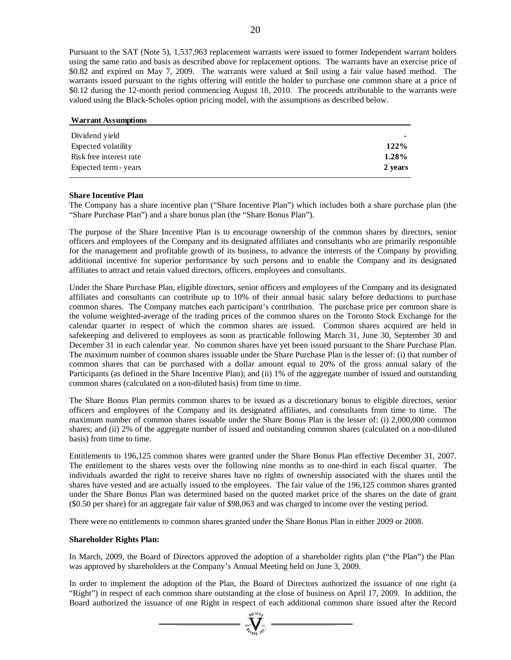Pursuant to the SAT (Note 5), 1,537,963 replacement warrants were issued to former Independent warrant holders using the same ratio and basis as described above for replacement options. The warrants have an exercise price of \$0.82 and expired on May 7, 2009. The warrants were valued at \$nil using a fair value based method. The warrants issued pursuant to the rights offering will entitle the holder to purchase one common share at a price of \$0.12 during the 12-month period commencing August 18, 2010. The proceeds attributable to the warrants were valued using the Black-Scholes option pricing model, with the assumptions as described below.

| <b>Warrant Assumptions</b> |         |
|----------------------------|---------|
| Dividend yield             |         |
| Expected volatility        | 122%    |
| Risk free interest rate    | 1.28%   |
| Expected term - years      | 2 years |

#### **Share Incentive Plan**

The Company has a share incentive plan ("Share Incentive Plan") which includes both a share purchase plan (the "Share Purchase Plan") and a share bonus plan (the "Share Bonus Plan").

The purpose of the Share Incentive Plan is to encourage ownership of the common shares by directors, senior officers and employees of the Company and its designated affiliates and consultants who are primarily responsible for the management and profitable growth of its business, to advance the interests of the Company by providing additional incentive for superior performance by such persons and to enable the Company and its designated affiliates to attract and retain valued directors, officers, employees and consultants.

Under the Share Purchase Plan, eligible directors, senior officers and employees of the Company and its designated affiliates and consultants can contribute up to 10% of their annual basic salary before deductions to purchase common shares. The Company matches each participant's contribution. The purchase price per common share is the volume weighted-average of the trading prices of the common shares on the Toronto Stock Exchange for the calendar quarter in respect of which the common shares are issued. Common shares acquired are held in safekeeping and delivered to employees as soon as practicable following March 31, June 30, September 30 and December 31 in each calendar year. No common shares have yet been issued pursuant to the Share Purchase Plan. The maximum number of common shares issuable under the Share Purchase Plan is the lesser of: (i) that number of common shares that can be purchased with a dollar amount equal to 20% of the gross annual salary of the Participants (as defined in the Share Incentive Plan); and (ii) 1% of the aggregate number of issued and outstanding common shares (calculated on a non-diluted basis) from time to time.

The Share Bonus Plan permits common shares to be issued as a discretionary bonus to eligible directors, senior officers and employees of the Company and its designated affiliates, and consultants from time to time. The maximum number of common shares issuable under the Share Bonus Plan is the lesser of: (i) 2,000,000 common shares; and (ii) 2% of the aggregate number of issued and outstanding common shares (calculated on a non-diluted basis) from time to time.

Entitlements to 196,125 common shares were granted under the Share Bonus Plan effective December 31, 2007. The entitlement to the shares vests over the following nine months as to one-third in each fiscal quarter. The individuals awarded the right to receive shares have no rights of ownership associated with the shares until the shares have vested and are actually issued to the employees. The fair value of the 196,125 common shares granted under the Share Bonus Plan was determined based on the quoted market price of the shares on the date of grant (\$0.50 per share) for an aggregate fair value of \$98,063 and was charged to income over the vesting period.

There were no entitlements to common shares granted under the Share Bonus Plan in either 2009 or 2008.

#### **Shareholder Rights Plan:**

In March, 2009, the Board of Directors approved the adoption of a shareholder rights plan ("the Plan") the Plan was approved by shareholders at the Company's Annual Meeting held on June 3, 2009.

In order to implement the adoption of the Plan, the Board of Directors authorized the issuance of one right (a "Right") in respect of each common share outstanding at the close of business on April 17, 2009. In addition, the Board authorized the issuance of one Right in respect of each additional common share issued after the Record

 $\sum_{n=1}$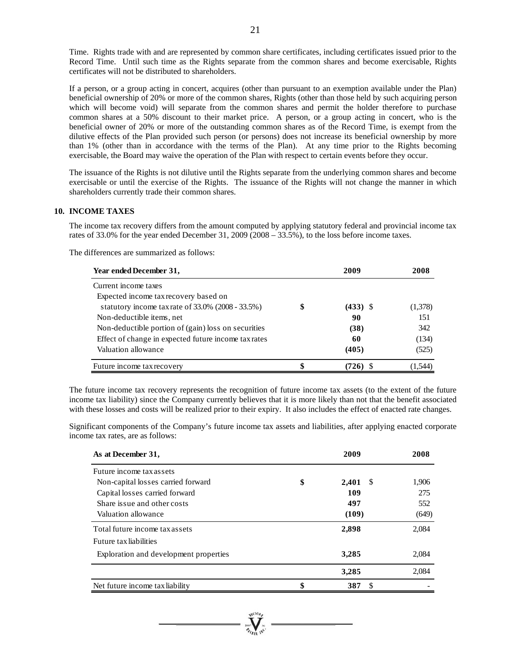Time. Rights trade with and are represented by common share certificates, including certificates issued prior to the Record Time. Until such time as the Rights separate from the common shares and become exercisable, Rights certificates will not be distributed to shareholders.

If a person, or a group acting in concert, acquires (other than pursuant to an exemption available under the Plan) beneficial ownership of 20% or more of the common shares, Rights (other than those held by such acquiring person which will become void) will separate from the common shares and permit the holder therefore to purchase common shares at a 50% discount to their market price. A person, or a group acting in concert, who is the beneficial owner of 20% or more of the outstanding common shares as of the Record Time, is exempt from the dilutive effects of the Plan provided such person (or persons) does not increase its beneficial ownership by more than 1% (other than in accordance with the terms of the Plan). At any time prior to the Rights becoming exercisable, the Board may waive the operation of the Plan with respect to certain events before they occur.

The issuance of the Rights is not dilutive until the Rights separate from the underlying common shares and become exercisable or until the exercise of the Rights. The issuance of the Rights will not change the manner in which shareholders currently trade their common shares.

# **10. INCOME TAXES**

The income tax recovery differs from the amount computed by applying statutory federal and provincial income tax rates of 33.0% for the year ended December 31, 2009 (2008 – 33.5%), to the loss before income taxes.

The differences are summarized as follows:

| Year ended December 31,                              | 2009             | 2008    |
|------------------------------------------------------|------------------|---------|
| Current income taxes                                 |                  |         |
| Expected income tax recovery based on                |                  |         |
| statutory income tax rate of 33.0% (2008 - 33.5%)    | \$<br>$(433)$ \$ | (1,378) |
| Non-deductible items, net                            | 90               | 151     |
| Non-deductible portion of (gain) loss on securities  | (38)             | 342     |
| Effect of change in expected future income tax rates | 60               | (134)   |
| Valuation allowance                                  | (405)            | (525)   |
| Future income tax recovery                           |                  | 544     |

The future income tax recovery represents the recognition of future income tax assets (to the extent of the future income tax liability) since the Company currently believes that it is more likely than not that the benefit associated with these losses and costs will be realized prior to their expiry. It also includes the effect of enacted rate changes.

Significant components of the Company's future income tax assets and liabilities, after applying enacted corporate income tax rates, are as follows:

| As at December 31,                     | 2009              | 2008  |
|----------------------------------------|-------------------|-------|
| Future income tax assets               |                   |       |
| Non-capital losses carried forward     | \$<br>2,401<br>-S | 1,906 |
| Capital losses carried forward         | 109               | 275   |
| Share is sue and other costs           | 497               | 552   |
| Valuation allowance                    | (109)             | (649) |
| Total future income tax assets         | 2,898             | 2,084 |
| Future tax liabilities                 |                   |       |
| Exploration and development properties | 3,285             | 2,084 |
|                                        | 3,285             | 2,084 |
| Net future income tax liability        | S<br>387          |       |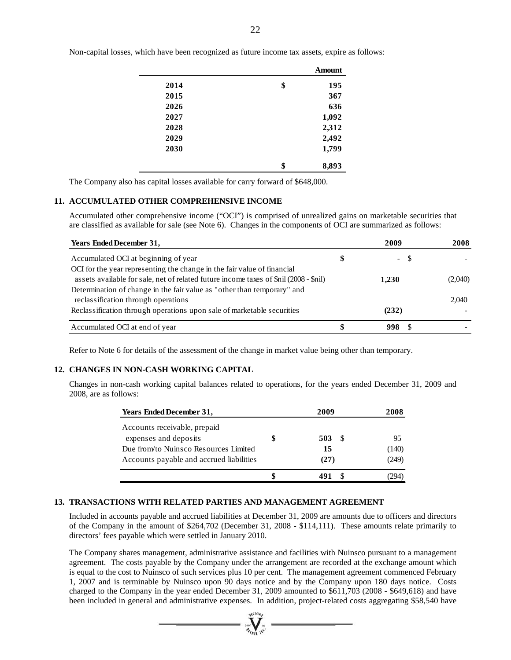|      | <b>Amount</b> |
|------|---------------|
| 2014 | \$<br>195     |
| 2015 | 367           |
| 2026 | 636           |
| 2027 | 1,092         |
| 2028 | 2,312         |
| 2029 | 2,492         |
| 2030 | 1,799         |
|      | \$<br>8,893   |
|      |               |

Non-capital losses, which have been recognized as future income tax assets, expire as follows:

The Company also has capital losses available for carry forward of \$648,000.

#### **11. ACCUMULATED OTHER COMPREHENSIVE INCOME**

Accumulated other comprehensive income ("OCI") is comprised of unrealized gains on marketable securities that are classified as available for sale (see Note 6). Changes in the components of OCI are summarized as follows:

| <b>Years Ended December 31,</b>                                                       | 2009       | 2008    |
|---------------------------------------------------------------------------------------|------------|---------|
| Accumulated OCI at beginning of year                                                  | \$<br>- \$ |         |
| OCI for the year representing the change in the fair value of financial               |            |         |
| assets available for sale, net of related future income taxes of \$nil (2008 - \$nil) | 1.230      | (2,040) |
| Determination of change in the fair value as "other than temporary" and               |            |         |
| reclassification through operations                                                   |            | 2,040   |
| Reclassification through operations upon sale of marketable securities                | (232)      |         |
| Accumulated OCI at end of year                                                        | 998        |         |

Refer to Note 6 for details of the assessment of the change in market value being other than temporary.

#### **12. CHANGES IN NON-CASH WORKING CAPITAL**

Changes in non-cash working capital balances related to operations, for the years ended December 31, 2009 and 2008, are as follows:

| <b>Years Ended December 31,</b>                       | 2009 | 2008  |
|-------------------------------------------------------|------|-------|
| Accounts receivable, prepaid<br>expenses and deposits | 503  | 95    |
| Due from/to Nuinsco Resources Limited                 | 15   | (140) |
| Accounts payable and accrued liabilities              | (27) | (249) |
|                                                       |      |       |

#### **13. TRANSACTIONS WITH RELATED PARTIES AND MANAGEMENT AGREEMENT**

Included in accounts payable and accrued liabilities at December 31, 2009 are amounts due to officers and directors of the Company in the amount of \$264,702 (December 31, 2008 - \$114,111). These amounts relate primarily to directors' fees payable which were settled in January 2010.

The Company shares management, administrative assistance and facilities with Nuinsco pursuant to a management agreement. The costs payable by the Company under the arrangement are recorded at the exchange amount which is equal to the cost to Nuinsco of such services plus 10 per cent. The management agreement commenced February 1, 2007 and is terminable by Nuinsco upon 90 days notice and by the Company upon 180 days notice. Costs charged to the Company in the year ended December 31, 2009 amounted to \$611,703 (2008 - \$649,618) and have been included in general and administrative expenses. In addition, project-related costs aggregating \$58,540 have

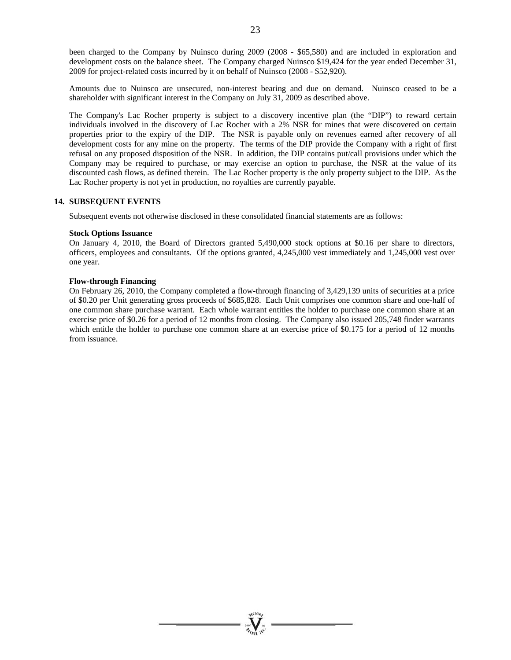Amounts due to Nuinsco are unsecured, non-interest bearing and due on demand. Nuinsco ceased to be a shareholder with significant interest in the Company on July 31, 2009 as described above.

The Company's Lac Rocher property is subject to a discovery incentive plan (the "DIP") to reward certain individuals involved in the discovery of Lac Rocher with a 2% NSR for mines that were discovered on certain properties prior to the expiry of the DIP. The NSR is payable only on revenues earned after recovery of all development costs for any mine on the property. The terms of the DIP provide the Company with a right of first refusal on any proposed disposition of the NSR. In addition, the DIP contains put/call provisions under which the Company may be required to purchase, or may exercise an option to purchase, the NSR at the value of its discounted cash flows, as defined therein. The Lac Rocher property is the only property subject to the DIP. As the Lac Rocher property is not yet in production, no royalties are currently payable.

# **14. SUBSEQUENT EVENTS**

Subsequent events not otherwise disclosed in these consolidated financial statements are as follows:

#### **Stock Options Issuance**

On January 4, 2010, the Board of Directors granted 5,490,000 stock options at \$0.16 per share to directors, officers, employees and consultants. Of the options granted, 4,245,000 vest immediately and 1,245,000 vest over one year.

# **Flow-through Financing**

On February 26, 2010, the Company completed a flow-through financing of 3,429,139 units of securities at a price of \$0.20 per Unit generating gross proceeds of \$685,828. Each Unit comprises one common share and one-half of one common share purchase warrant. Each whole warrant entitles the holder to purchase one common share at an exercise price of \$0.26 for a period of 12 months from closing. The Company also issued 205,748 finder warrants which entitle the holder to purchase one common share at an exercise price of \$0.175 for a period of 12 months from issuance.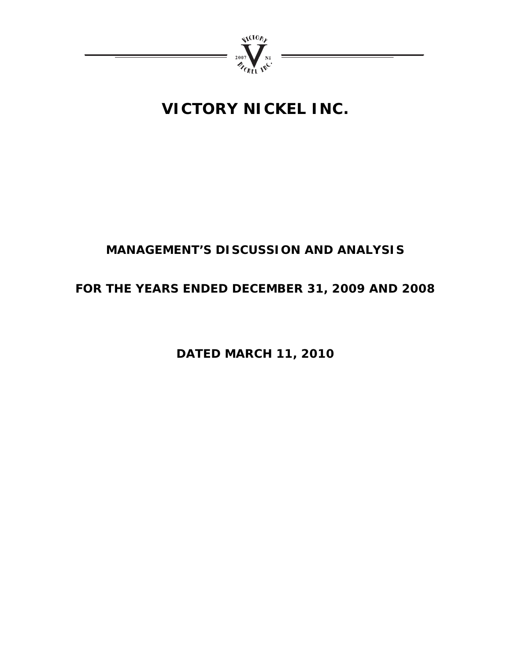

# **VICTORY NICKEL INC.**

# **MANAGEMENT'S DISCUSSION AND ANALYSIS**

# **FOR THE YEARS ENDED DECEMBER 31, 2009 AND 2008**

**DATED MARCH 11, 2010**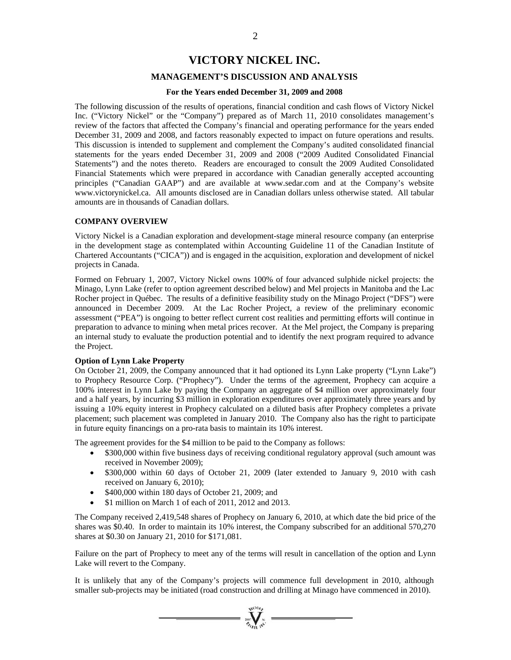# **VICTORY NICKEL INC.**

# **MANAGEMENT'S DISCUSSION AND ANALYSIS**

#### **For the Years ended December 31, 2009 and 2008**

The following discussion of the results of operations, financial condition and cash flows of Victory Nickel Inc. ("Victory Nickel" or the "Company") prepared as of March 11, 2010 consolidates management's review of the factors that affected the Company's financial and operating performance for the years ended December 31, 2009 and 2008, and factors reasonably expected to impact on future operations and results. This discussion is intended to supplement and complement the Company's audited consolidated financial statements for the years ended December 31, 2009 and 2008 ("2009 Audited Consolidated Financial Statements") and the notes thereto. Readers are encouraged to consult the 2009 Audited Consolidated Financial Statements which were prepared in accordance with Canadian generally accepted accounting principles ("Canadian GAAP") and are available at www.sedar.com and at the Company's website www.victorynickel.ca. All amounts disclosed are in Canadian dollars unless otherwise stated. All tabular amounts are in thousands of Canadian dollars.

#### **COMPANY OVERVIEW**

Victory Nickel is a Canadian exploration and development-stage mineral resource company (an enterprise in the development stage as contemplated within Accounting Guideline 11 of the Canadian Institute of Chartered Accountants ("CICA")) and is engaged in the acquisition, exploration and development of nickel projects in Canada.

Formed on February 1, 2007, Victory Nickel owns 100% of four advanced sulphide nickel projects: the Minago, Lynn Lake (refer to option agreement described below) and Mel projects in Manitoba and the Lac Rocher project in Québec. The results of a definitive feasibility study on the Minago Project ("DFS") were announced in December 2009. At the Lac Rocher Project, a review of the preliminary economic assessment ("PEA") is ongoing to better reflect current cost realities and permitting efforts will continue in preparation to advance to mining when metal prices recover. At the Mel project, the Company is preparing an internal study to evaluate the production potential and to identify the next program required to advance the Project.

#### **Option of Lynn Lake Property**

On October 21, 2009, the Company announced that it had optioned its Lynn Lake property ("Lynn Lake") to Prophecy Resource Corp. ("Prophecy"). Under the terms of the agreement, Prophecy can acquire a 100% interest in Lynn Lake by paying the Company an aggregate of \$4 million over approximately four and a half years, by incurring \$3 million in exploration expenditures over approximately three years and by issuing a 10% equity interest in Prophecy calculated on a diluted basis after Prophecy completes a private placement; such placement was completed in January 2010. The Company also has the right to participate in future equity financings on a pro-rata basis to maintain its 10% interest.

The agreement provides for the \$4 million to be paid to the Company as follows:

- \$300,000 within five business days of receiving conditional regulatory approval (such amount was received in November 2009);
- \$300,000 within 60 days of October 21, 2009 (later extended to January 9, 2010 with cash received on January 6, 2010);
- $\bullet$  \$400,000 within 180 days of October 21, 2009; and
- \$1 million on March 1 of each of 2011, 2012 and 2013.

The Company received 2,419,548 shares of Prophecy on January 6, 2010, at which date the bid price of the shares was \$0.40. In order to maintain its 10% interest, the Company subscribed for an additional 570,270 shares at \$0.30 on January 21, 2010 for \$171,081.

Failure on the part of Prophecy to meet any of the terms will result in cancellation of the option and Lynn Lake will revert to the Company.

It is unlikely that any of the Company's projects will commence full development in 2010, although smaller sub-projects may be initiated (road construction and drilling at Minago have commenced in 2010).

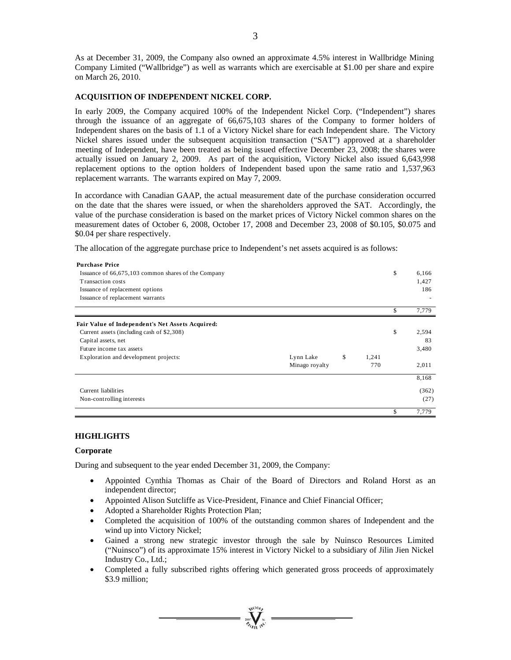As at December 31, 2009, the Company also owned an approximate 4.5% interest in Wallbridge Mining Company Limited ("Wallbridge") as well as warrants which are exercisable at \$1.00 per share and expire on March 26, 2010.

#### **ACQUISITION OF INDEPENDENT NICKEL CORP.**

In early 2009, the Company acquired 100% of the Independent Nickel Corp. ("Independent") shares through the issuance of an aggregate of 66,675,103 shares of the Company to former holders of Independent shares on the basis of 1.1 of a Victory Nickel share for each Independent share. The Victory Nickel shares issued under the subsequent acquisition transaction ("SAT") approved at a shareholder meeting of Independent, have been treated as being issued effective December 23, 2008; the shares were actually issued on January 2, 2009. As part of the acquisition, Victory Nickel also issued 6,643,998 replacement options to the option holders of Independent based upon the same ratio and 1,537,963 replacement warrants. The warrants expired on May 7, 2009.

In accordance with Canadian GAAP, the actual measurement date of the purchase consideration occurred on the date that the shares were issued, or when the shareholders approved the SAT. Accordingly, the value of the purchase consideration is based on the market prices of Victory Nickel common shares on the measurement dates of October 6, 2008, October 17, 2008 and December 23, 2008 of \$0.105, \$0.075 and \$0.04 per share respectively.

The allocation of the aggregate purchase price to Independent's net assets acquired is as follows:

| <b>Purchase Price</b>                               |                |             |             |
|-----------------------------------------------------|----------------|-------------|-------------|
| Issuance of 66,675,103 common shares of the Company |                |             | \$<br>6,166 |
| Transaction costs                                   |                |             | 1,427       |
| Issuance of replacement options                     |                |             | 186         |
| Issuance of replacement warrants                    |                |             |             |
|                                                     |                |             | \$<br>7,779 |
| Fair Value of Independent's Net Assets Acquired:    |                |             |             |
| Current assets (including cash of \$2,308)          |                |             | \$<br>2,594 |
| Capital assets, net                                 |                |             | 83          |
| Future income tax assets                            |                |             | 3,480       |
| Exploration and development projects:               | Lynn Lake      | \$<br>1,241 |             |
|                                                     | Minago royalty | 770         | 2,011       |
|                                                     |                |             | 8,168       |
| Current liabilities                                 |                |             | (362)       |
| Non-controlling interests                           |                |             | (27)        |
|                                                     |                |             | \$<br>7,779 |

#### **HIGHLIGHTS**

#### **Corporate**

During and subsequent to the year ended December 31, 2009, the Company:

- Appointed Cynthia Thomas as Chair of the Board of Directors and Roland Horst as an independent director;
- Appointed Alison Sutcliffe as Vice-President, Finance and Chief Financial Officer;
- Adopted a Shareholder Rights Protection Plan;
- Completed the acquisition of 100% of the outstanding common shares of Independent and the wind up into Victory Nickel;
- Gained a strong new strategic investor through the sale by Nuinsco Resources Limited ("Nuinsco") of its approximate 15% interest in Victory Nickel to a subsidiary of Jilin Jien Nickel Industry Co., Ltd.;
- Completed a fully subscribed rights offering which generated gross proceeds of approximately \$3.9 million;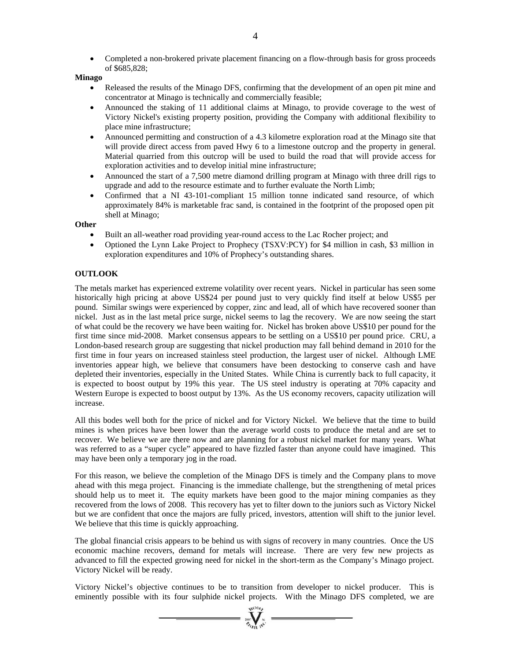Completed a non-brokered private placement financing on a flow-through basis for gross proceeds of \$685,828;

#### **Minago**

- Released the results of the Minago DFS, confirming that the development of an open pit mine and concentrator at Minago is technically and commercially feasible;
- Announced the staking of 11 additional claims at Minago, to provide coverage to the west of Victory Nickel's existing property position, providing the Company with additional flexibility to place mine infrastructure;
- Announced permitting and construction of a 4.3 kilometre exploration road at the Minago site that will provide direct access from paved Hwy 6 to a limestone outcrop and the property in general. Material quarried from this outcrop will be used to build the road that will provide access for exploration activities and to develop initial mine infrastructure;
- Announced the start of a 7,500 metre diamond drilling program at Minago with three drill rigs to upgrade and add to the resource estimate and to further evaluate the North Limb;
- Confirmed that a NI 43-101-compliant 15 million tonne indicated sand resource, of which approximately 84% is marketable frac sand, is contained in the footprint of the proposed open pit shell at Minago;

#### **Other**

- Built an all-weather road providing year-round access to the Lac Rocher project; and
- Optioned the Lynn Lake Project to Prophecy (TSXV:PCY) for \$4 million in cash, \$3 million in exploration expenditures and 10% of Prophecy's outstanding shares.

# **OUTLOOK**

The metals market has experienced extreme volatility over recent years. Nickel in particular has seen some historically high pricing at above US\$24 per pound just to very quickly find itself at below US\$5 per pound. Similar swings were experienced by copper, zinc and lead, all of which have recovered sooner than nickel. Just as in the last metal price surge, nickel seems to lag the recovery. We are now seeing the start of what could be the recovery we have been waiting for. Nickel has broken above US\$10 per pound for the first time since mid-2008. Market consensus appears to be settling on a US\$10 per pound price. CRU, a London-based research group are suggesting that nickel production may fall behind demand in 2010 for the first time in four years on increased stainless steel production, the largest user of nickel. Although LME inventories appear high, we believe that consumers have been destocking to conserve cash and have depleted their inventories, especially in the United States. While China is currently back to full capacity, it is expected to boost output by 19% this year. The US steel industry is operating at 70% capacity and Western Europe is expected to boost output by 13%. As the US economy recovers, capacity utilization will increase.

All this bodes well both for the price of nickel and for Victory Nickel. We believe that the time to build mines is when prices have been lower than the average world costs to produce the metal and are set to recover. We believe we are there now and are planning for a robust nickel market for many years. What was referred to as a "super cycle" appeared to have fizzled faster than anyone could have imagined. This may have been only a temporary jog in the road.

For this reason, we believe the completion of the Minago DFS is timely and the Company plans to move ahead with this mega project. Financing is the immediate challenge, but the strengthening of metal prices should help us to meet it. The equity markets have been good to the major mining companies as they recovered from the lows of 2008. This recovery has yet to filter down to the juniors such as Victory Nickel but we are confident that once the majors are fully priced, investors, attention will shift to the junior level. We believe that this time is quickly approaching.

The global financial crisis appears to be behind us with signs of recovery in many countries. Once the US economic machine recovers, demand for metals will increase. There are very few new projects as advanced to fill the expected growing need for nickel in the short-term as the Company's Minago project. Victory Nickel will be ready.

Victory Nickel's objective continues to be to transition from developer to nickel producer. This is eminently possible with its four sulphide nickel projects. With the Minago DFS completed, we are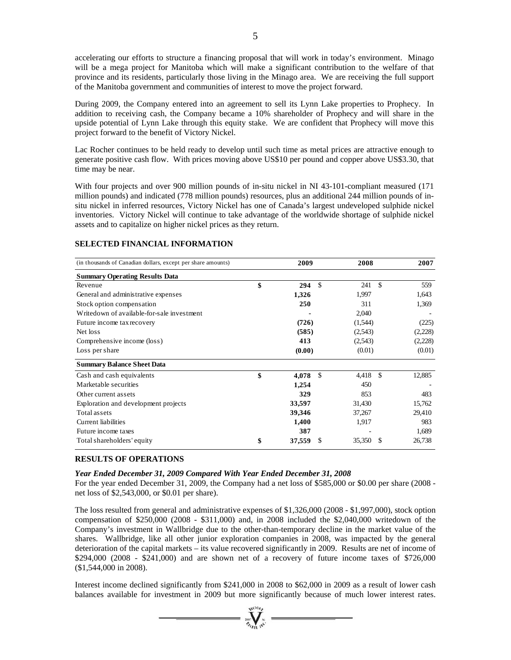accelerating our efforts to structure a financing proposal that will work in today's environment. Minago will be a mega project for Manitoba which will make a significant contribution to the welfare of that province and its residents, particularly those living in the Minago area. We are receiving the full support of the Manitoba government and communities of interest to move the project forward.

During 2009, the Company entered into an agreement to sell its Lynn Lake properties to Prophecy. In addition to receiving cash, the Company became a 10% shareholder of Prophecy and will share in the upside potential of Lynn Lake through this equity stake. We are confident that Prophecy will move this project forward to the benefit of Victory Nickel.

Lac Rocher continues to be held ready to develop until such time as metal prices are attractive enough to generate positive cash flow. With prices moving above US\$10 per pound and copper above US\$3.30, that time may be near.

With four projects and over 900 million pounds of in-situ nickel in NI 43-101-compliant measured (171 million pounds) and indicated (778 million pounds) resources, plus an additional 244 million pounds of insitu nickel in inferred resources, Victory Nickel has one of Canada's largest undeveloped sulphide nickel inventories. Victory Nickel will continue to take advantage of the worldwide shortage of sulphide nickel assets and to capitalize on higher nickel prices as they return.

| (in thousands of Canadian dollars, except per share amounts) | 2009         |               | 2008    |                    | 2007    |
|--------------------------------------------------------------|--------------|---------------|---------|--------------------|---------|
| <b>Summary Operating Results Data</b>                        |              |               |         |                    |         |
| Revenue                                                      | \$<br>294    | \$            | 241     | $\mathcal{S}$      | 559     |
| General and administrative expenses                          | 1,326        |               | 1,997   |                    | 1,643   |
| Stock option compensation                                    | 250          |               | 311     |                    | 1,369   |
| Writedown of available-for-sale investment                   |              |               | 2,040   |                    |         |
| Future income tax recovery                                   | (726)        |               | (1,544) |                    | (225)   |
| Net loss                                                     | (585)        |               | (2,543) |                    | (2,228) |
| Comprehensive income (loss)                                  | 413          |               | (2,543) |                    | (2,228) |
| Loss per share                                               | (0.00)       |               | (0.01)  |                    | (0.01)  |
| <b>Summary Balance Sheet Data</b>                            |              |               |         |                    |         |
| Cash and cash equivalents                                    | \$<br>4,078  | $\mathbf{\$}$ | 4,418   | $\mathbf{\hat{S}}$ | 12,885  |
| Marketable securities                                        | 1,254        |               | 450     |                    |         |
| Other current assets                                         | 329          |               | 853     |                    | 483     |
| Exploration and development projects                         | 33,597       |               | 31,430  |                    | 15,762  |
| Total assets                                                 | 39,346       |               | 37,267  |                    | 29,410  |
| <b>Current</b> liabilities                                   | 1,400        |               | 1,917   |                    | 983     |
| Future income taxes                                          | 387          |               |         |                    | 1,689   |
| Total shareholders' equity                                   | \$<br>37,559 |               | 35,350  | S                  | 26,738  |

#### **SELECTED FINANCIAL INFORMATION**

# **RESULTS OF OPERATIONS**

#### *Year Ended December 31, 2009 Compared With Year Ended December 31, 2008*

For the year ended December 31, 2009, the Company had a net loss of \$585,000 or \$0.00 per share (2008 net loss of \$2,543,000, or \$0.01 per share).

The loss resulted from general and administrative expenses of \$1,326,000 (2008 - \$1,997,000), stock option compensation of \$250,000 (2008 - \$311,000) and, in 2008 included the \$2,040,000 writedown of the Company's investment in Wallbridge due to the other-than-temporary decline in the market value of the shares. Wallbridge, like all other junior exploration companies in 2008, was impacted by the general deterioration of the capital markets – its value recovered significantly in 2009. Results are net of income of \$294,000 (2008 - \$241,000) and are shown net of a recovery of future income taxes of \$726,000 (\$1,544,000 in 2008).

Interest income declined significantly from \$241,000 in 2008 to \$62,000 in 2009 as a result of lower cash balances available for investment in 2009 but more significantly because of much lower interest rates.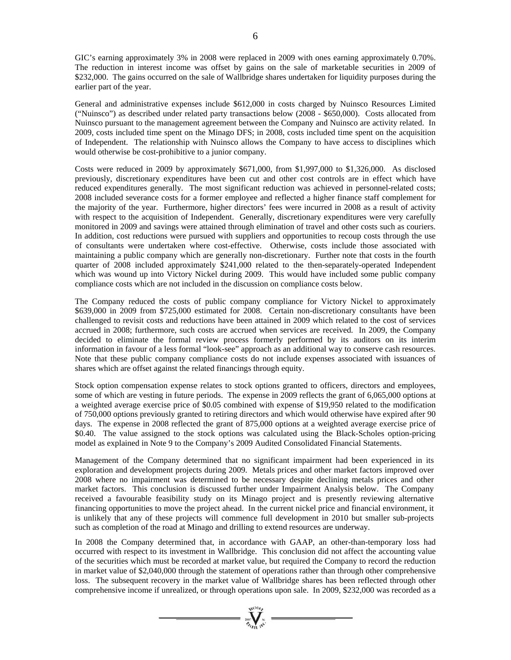GIC's earning approximately 3% in 2008 were replaced in 2009 with ones earning approximately 0.70%. The reduction in interest income was offset by gains on the sale of marketable securities in 2009 of \$232,000. The gains occurred on the sale of Wallbridge shares undertaken for liquidity purposes during the earlier part of the year.

General and administrative expenses include \$612,000 in costs charged by Nuinsco Resources Limited ("Nuinsco") as described under related party transactions below (2008 - \$650,000). Costs allocated from Nuinsco pursuant to the management agreement between the Company and Nuinsco are activity related. In 2009, costs included time spent on the Minago DFS; in 2008, costs included time spent on the acquisition of Independent. The relationship with Nuinsco allows the Company to have access to disciplines which would otherwise be cost-prohibitive to a junior company.

Costs were reduced in 2009 by approximately \$671,000, from \$1,997,000 to \$1,326,000. As disclosed previously, discretionary expenditures have been cut and other cost controls are in effect which have reduced expenditures generally. The most significant reduction was achieved in personnel-related costs; 2008 included severance costs for a former employee and reflected a higher finance staff complement for the majority of the year. Furthermore, higher directors' fees were incurred in 2008 as a result of activity with respect to the acquisition of Independent. Generally, discretionary expenditures were very carefully monitored in 2009 and savings were attained through elimination of travel and other costs such as couriers. In addition, cost reductions were pursued with suppliers and opportunities to recoup costs through the use of consultants were undertaken where cost-effective. Otherwise, costs include those associated with maintaining a public company which are generally non-discretionary. Further note that costs in the fourth quarter of 2008 included approximately \$241,000 related to the then-separately-operated Independent which was wound up into Victory Nickel during 2009. This would have included some public company compliance costs which are not included in the discussion on compliance costs below.

The Company reduced the costs of public company compliance for Victory Nickel to approximately \$639,000 in 2009 from \$725,000 estimated for 2008. Certain non-discretionary consultants have been challenged to revisit costs and reductions have been attained in 2009 which related to the cost of services accrued in 2008; furthermore, such costs are accrued when services are received. In 2009, the Company decided to eliminate the formal review process formerly performed by its auditors on its interim information in favour of a less formal "look-see" approach as an additional way to conserve cash resources. Note that these public company compliance costs do not include expenses associated with issuances of shares which are offset against the related financings through equity.

Stock option compensation expense relates to stock options granted to officers, directors and employees, some of which are vesting in future periods. The expense in 2009 reflects the grant of 6,065,000 options at a weighted average exercise price of \$0.05 combined with expense of \$19,950 related to the modification of 750,000 options previously granted to retiring directors and which would otherwise have expired after 90 days. The expense in 2008 reflected the grant of 875,000 options at a weighted average exercise price of \$0.40. The value assigned to the stock options was calculated using the Black-Scholes option-pricing model as explained in Note 9 to the Company's 2009 Audited Consolidated Financial Statements.

Management of the Company determined that no significant impairment had been experienced in its exploration and development projects during 2009. Metals prices and other market factors improved over 2008 where no impairment was determined to be necessary despite declining metals prices and other market factors. This conclusion is discussed further under Impairment Analysis below. The Company received a favourable feasibility study on its Minago project and is presently reviewing alternative financing opportunities to move the project ahead. In the current nickel price and financial environment, it is unlikely that any of these projects will commence full development in 2010 but smaller sub-projects such as completion of the road at Minago and drilling to extend resources are underway.

In 2008 the Company determined that, in accordance with GAAP, an other-than-temporary loss had occurred with respect to its investment in Wallbridge. This conclusion did not affect the accounting value of the securities which must be recorded at market value, but required the Company to record the reduction in market value of \$2,040,000 through the statement of operations rather than through other comprehensive loss. The subsequent recovery in the market value of Wallbridge shares has been reflected through other comprehensive income if unrealized, or through operations upon sale. In 2009, \$232,000 was recorded as a

 $\sum_{i=1}^{n}$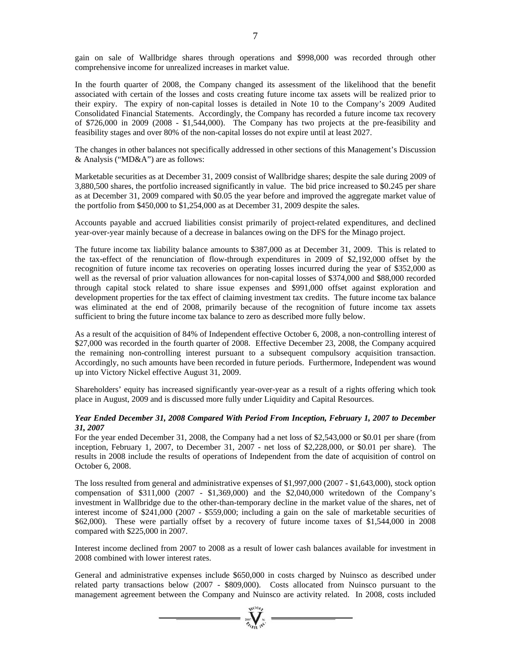gain on sale of Wallbridge shares through operations and \$998,000 was recorded through other comprehensive income for unrealized increases in market value.

In the fourth quarter of 2008, the Company changed its assessment of the likelihood that the benefit associated with certain of the losses and costs creating future income tax assets will be realized prior to their expiry. The expiry of non-capital losses is detailed in Note 10 to the Company's 2009 Audited Consolidated Financial Statements. Accordingly, the Company has recorded a future income tax recovery of \$726,000 in 2009 (2008 - \$1,544,000). The Company has two projects at the pre-feasibility and feasibility stages and over 80% of the non-capital losses do not expire until at least 2027.

The changes in other balances not specifically addressed in other sections of this Management's Discussion & Analysis ("MD&A") are as follows:

Marketable securities as at December 31, 2009 consist of Wallbridge shares; despite the sale during 2009 of 3,880,500 shares, the portfolio increased significantly in value. The bid price increased to \$0.245 per share as at December 31, 2009 compared with \$0.05 the year before and improved the aggregate market value of the portfolio from \$450,000 to \$1,254,000 as at December 31, 2009 despite the sales.

Accounts payable and accrued liabilities consist primarily of project-related expenditures, and declined year-over-year mainly because of a decrease in balances owing on the DFS for the Minago project.

The future income tax liability balance amounts to \$387,000 as at December 31, 2009. This is related to the tax-effect of the renunciation of flow-through expenditures in 2009 of \$2,192,000 offset by the recognition of future income tax recoveries on operating losses incurred during the year of \$352,000 as well as the reversal of prior valuation allowances for non-capital losses of \$374,000 and \$88,000 recorded through capital stock related to share issue expenses and \$991,000 offset against exploration and development properties for the tax effect of claiming investment tax credits. The future income tax balance was eliminated at the end of 2008, primarily because of the recognition of future income tax assets sufficient to bring the future income tax balance to zero as described more fully below.

As a result of the acquisition of 84% of Independent effective October 6, 2008, a non-controlling interest of \$27,000 was recorded in the fourth quarter of 2008. Effective December 23, 2008, the Company acquired the remaining non-controlling interest pursuant to a subsequent compulsory acquisition transaction. Accordingly, no such amounts have been recorded in future periods. Furthermore, Independent was wound up into Victory Nickel effective August 31, 2009.

Shareholders' equity has increased significantly year-over-year as a result of a rights offering which took place in August, 2009 and is discussed more fully under Liquidity and Capital Resources.

# *Year Ended December 31, 2008 Compared With Period From Inception, February 1, 2007 to December 31, 2007*

For the year ended December 31, 2008, the Company had a net loss of \$2,543,000 or \$0.01 per share (from inception, February 1, 2007, to December 31, 2007 - net loss of \$2,228,000, or \$0.01 per share). The results in 2008 include the results of operations of Independent from the date of acquisition of control on October 6, 2008.

The loss resulted from general and administrative expenses of \$1,997,000 (2007 - \$1,643,000), stock option compensation of \$311,000 (2007 - \$1,369,000) and the \$2,040,000 writedown of the Company's investment in Wallbridge due to the other-than-temporary decline in the market value of the shares, net of interest income of \$241,000 (2007 - \$559,000; including a gain on the sale of marketable securities of \$62,000). These were partially offset by a recovery of future income taxes of \$1,544,000 in 2008 compared with \$225,000 in 2007.

Interest income declined from 2007 to 2008 as a result of lower cash balances available for investment in 2008 combined with lower interest rates.

General and administrative expenses include \$650,000 in costs charged by Nuinsco as described under related party transactions below (2007 - \$809,000). Costs allocated from Nuinsco pursuant to the management agreement between the Company and Nuinsco are activity related. In 2008, costs included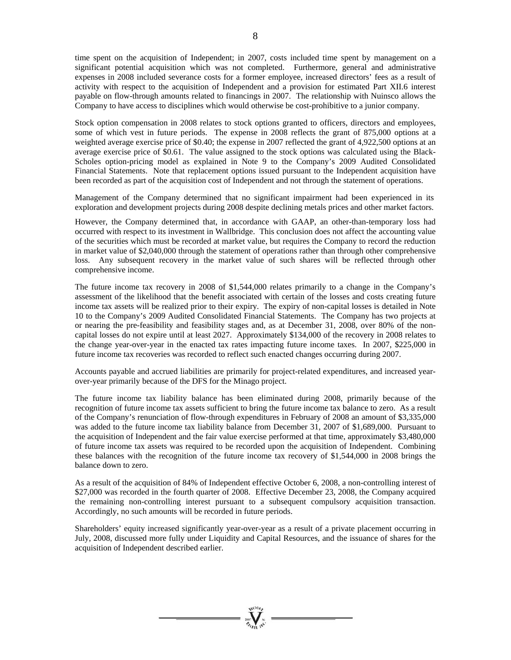time spent on the acquisition of Independent; in 2007, costs included time spent by management on a significant potential acquisition which was not completed. Furthermore, general and administrative expenses in 2008 included severance costs for a former employee, increased directors' fees as a result of activity with respect to the acquisition of Independent and a provision for estimated Part XII.6 interest payable on flow-through amounts related to financings in 2007. The relationship with Nuinsco allows the Company to have access to disciplines which would otherwise be cost-prohibitive to a junior company.

Stock option compensation in 2008 relates to stock options granted to officers, directors and employees, some of which vest in future periods. The expense in 2008 reflects the grant of 875,000 options at a weighted average exercise price of \$0.40; the expense in 2007 reflected the grant of 4,922,500 options at an average exercise price of \$0.61. The value assigned to the stock options was calculated using the Black-Scholes option-pricing model as explained in Note 9 to the Company's 2009 Audited Consolidated Financial Statements. Note that replacement options issued pursuant to the Independent acquisition have been recorded as part of the acquisition cost of Independent and not through the statement of operations.

Management of the Company determined that no significant impairment had been experienced in its exploration and development projects during 2008 despite declining metals prices and other market factors.

However, the Company determined that, in accordance with GAAP, an other-than-temporary loss had occurred with respect to its investment in Wallbridge. This conclusion does not affect the accounting value of the securities which must be recorded at market value, but requires the Company to record the reduction in market value of \$2,040,000 through the statement of operations rather than through other comprehensive loss. Any subsequent recovery in the market value of such shares will be reflected through other comprehensive income.

The future income tax recovery in 2008 of \$1,544,000 relates primarily to a change in the Company's assessment of the likelihood that the benefit associated with certain of the losses and costs creating future income tax assets will be realized prior to their expiry. The expiry of non-capital losses is detailed in Note 10 to the Company's 2009 Audited Consolidated Financial Statements. The Company has two projects at or nearing the pre-feasibility and feasibility stages and, as at December 31, 2008, over 80% of the noncapital losses do not expire until at least 2027. Approximately \$134,000 of the recovery in 2008 relates to the change year-over-year in the enacted tax rates impacting future income taxes. In 2007, \$225,000 in future income tax recoveries was recorded to reflect such enacted changes occurring during 2007.

Accounts payable and accrued liabilities are primarily for project-related expenditures, and increased yearover-year primarily because of the DFS for the Minago project.

The future income tax liability balance has been eliminated during 2008, primarily because of the recognition of future income tax assets sufficient to bring the future income tax balance to zero. As a result of the Company's renunciation of flow-through expenditures in February of 2008 an amount of \$3,335,000 was added to the future income tax liability balance from December 31, 2007 of \$1,689,000. Pursuant to the acquisition of Independent and the fair value exercise performed at that time, approximately \$3,480,000 of future income tax assets was required to be recorded upon the acquisition of Independent. Combining these balances with the recognition of the future income tax recovery of \$1,544,000 in 2008 brings the balance down to zero.

As a result of the acquisition of 84% of Independent effective October 6, 2008, a non-controlling interest of \$27,000 was recorded in the fourth quarter of 2008. Effective December 23, 2008, the Company acquired the remaining non-controlling interest pursuant to a subsequent compulsory acquisition transaction. Accordingly, no such amounts will be recorded in future periods.

Shareholders' equity increased significantly year-over-year as a result of a private placement occurring in July, 2008, discussed more fully under Liquidity and Capital Resources, and the issuance of shares for the acquisition of Independent described earlier.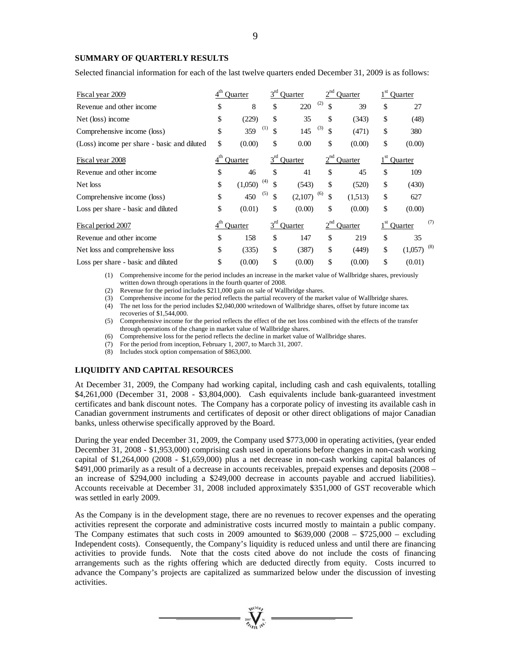#### **SUMMARY OF QUARTERLY RESULTS**

Selected financial information for each of the last twelve quarters ended December 31, 2009 is as follows:

| Fiscal year 2009                            |                 | Ouarter | $3^{ra}$  | <b>Ouarter</b> |           | <b>Ouarter</b> |                 | Quarter        |
|---------------------------------------------|-----------------|---------|-----------|----------------|-----------|----------------|-----------------|----------------|
| Revenue and other income                    | \$              | 8       | \$        | 220            | (2)<br>\$ | 39             | \$              | 27             |
| Net (loss) income                           | \$              | (229)   | \$        | 35             | \$        | (343)          | \$              | (48)           |
| Comprehensive income (loss)                 | \$              | 359     | (1)<br>\$ | 145            | (3)<br>\$ | (471)          | \$              | 380            |
| (Loss) income per share - basic and diluted | \$              | (0.00)  | \$        | 0.00           | \$        | (0.00)         | \$              | (0.00)         |
| Fiscal year 2008                            | $4^{\text{th}}$ | Ouarter | $3^{rd}$  | Ouarter        | $2^{nd}$  | Quarter        | 1 <sup>st</sup> | <b>Ouarter</b> |
| Revenue and other income                    | \$              | 46      | \$        | 41             | \$        | 45             | \$              | 109            |
| Net loss                                    | \$              | (1,050) | (4)<br>\$ | (543)          | \$        | (520)          | \$              | (430)          |
| Comprehensive income (loss)                 | \$              | 450     | (5)<br>\$ | (2,107)        | (6)<br>\$ | (1,513)        | \$              | 627            |
| Loss per share - basic and diluted          | \$              | (0.01)  | \$        | (0.00)         | \$        | (0.00)         | \$              | (0.00)         |
| Fiscal period 2007                          | $4^{\text{th}}$ | Ouarter | $3^{rd}$  | Quarter        | $2^{nd}$  | Quarter        | 1 <sup>st</sup> | (7)<br>Quarter |
| Revenue and other income                    | \$              | 158     | \$        | 147            | \$        | 219            | \$              | 35             |
| Net loss and comprehensive loss             | \$              | (335)   | \$        | (387)          | \$        | (449)          | \$              | (8)<br>(1,057) |
| Loss per share - basic and diluted          | \$              | (0.00)  | \$        | (0.00)         | \$        | (0.00)         | \$              | (0.01)         |

(1) Comprehensive income for the period includes an increase in the market value of Wallbridge shares, previously written down through operations in the fourth quarter of 2008.

(2) Revenue for the period includes \$211,000 gain on sale of Wallbridge shares.

(3) Comprehensive income for the period reflects the partial recovery of the market value of Wallbridge shares.

(4) The net loss for the period includes \$2,040,000 writedown of Wallbridge shares, offset by future income tax recoveries of \$1,544,000.

(5) Comprehensive income for the period reflects the effect of the net loss combined with the effects of the transfer through operations of the change in market value of Wallbridge shares.

(6) Comprehensive loss for the period reflects the decline in market value of Wallbridge shares.

(7) For the period from inception, February 1, 2007, to March 31, 2007.

(8) Includes stock option compensation of \$863,000.

# **LIQUIDITY AND CAPITAL RESOURCES**

At December 31, 2009, the Company had working capital, including cash and cash equivalents, totalling \$4,261,000 (December 31, 2008 - \$3,804,000). Cash equivalents include bank-guaranteed investment certificates and bank discount notes. The Company has a corporate policy of investing its available cash in Canadian government instruments and certificates of deposit or other direct obligations of major Canadian banks, unless otherwise specifically approved by the Board.

During the year ended December 31, 2009, the Company used \$773,000 in operating activities, (year ended December 31, 2008 - \$1,953,000) comprising cash used in operations before changes in non-cash working capital of \$1,264,000 (2008 - \$1,659,000) plus a net decrease in non-cash working capital balances of \$491,000 primarily as a result of a decrease in accounts receivables, prepaid expenses and deposits (2008 – an increase of \$294,000 including a \$249,000 decrease in accounts payable and accrued liabilities). Accounts receivable at December 31, 2008 included approximately \$351,000 of GST recoverable which was settled in early 2009.

As the Company is in the development stage, there are no revenues to recover expenses and the operating activities represent the corporate and administrative costs incurred mostly to maintain a public company. The Company estimates that such costs in 2009 amounted to  $$639,000$  (2008 –  $$725,000$  – excluding Independent costs). Consequently, the Company's liquidity is reduced unless and until there are financing activities to provide funds. Note that the costs cited above do not include the costs of financing arrangements such as the rights offering which are deducted directly from equity. Costs incurred to advance the Company's projects are capitalized as summarized below under the discussion of investing activities.

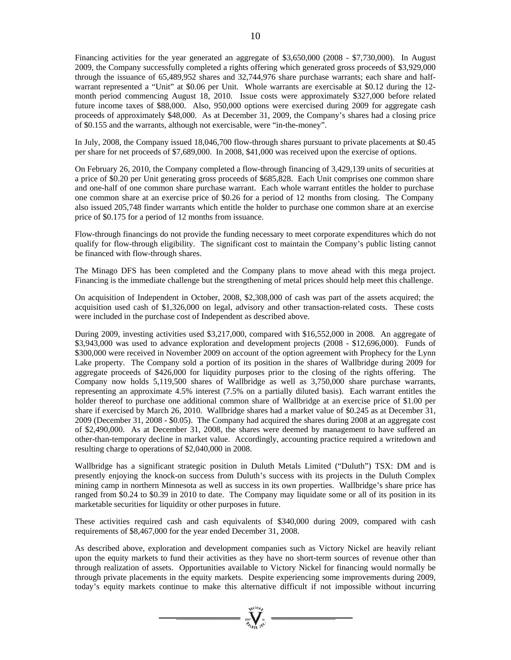Financing activities for the year generated an aggregate of \$3,650,000 (2008 - \$7,730,000). In August 2009, the Company successfully completed a rights offering which generated gross proceeds of \$3,929,000 through the issuance of 65,489,952 shares and 32,744,976 share purchase warrants; each share and halfwarrant represented a "Unit" at \$0.06 per Unit. Whole warrants are exercisable at \$0.12 during the 12 month period commencing August 18, 2010. Issue costs were approximately \$327,000 before related future income taxes of \$88,000. Also, 950,000 options were exercised during 2009 for aggregate cash proceeds of approximately \$48,000. As at December 31, 2009, the Company's shares had a closing price of \$0.155 and the warrants, although not exercisable, were "in-the-money".

In July, 2008, the Company issued 18,046,700 flow-through shares pursuant to private placements at \$0.45 per share for net proceeds of \$7,689,000. In 2008, \$41,000 was received upon the exercise of options.

On February 26, 2010, the Company completed a flow-through financing of 3,429,139 units of securities at a price of \$0.20 per Unit generating gross proceeds of \$685,828. Each Unit comprises one common share and one-half of one common share purchase warrant. Each whole warrant entitles the holder to purchase one common share at an exercise price of \$0.26 for a period of 12 months from closing. The Company also issued 205,748 finder warrants which entitle the holder to purchase one common share at an exercise price of \$0.175 for a period of 12 months from issuance.

Flow-through financings do not provide the funding necessary to meet corporate expenditures which do not qualify for flow-through eligibility. The significant cost to maintain the Company's public listing cannot be financed with flow-through shares.

The Minago DFS has been completed and the Company plans to move ahead with this mega project. Financing is the immediate challenge but the strengthening of metal prices should help meet this challenge.

On acquisition of Independent in October, 2008, \$2,308,000 of cash was part of the assets acquired; the acquisition used cash of \$1,326,000 on legal, advisory and other transaction-related costs. These costs were included in the purchase cost of Independent as described above.

During 2009, investing activities used \$3,217,000, compared with \$16,552,000 in 2008. An aggregate of \$3,943,000 was used to advance exploration and development projects (2008 - \$12,696,000). Funds of \$300,000 were received in November 2009 on account of the option agreement with Prophecy for the Lynn Lake property. The Company sold a portion of its position in the shares of Wallbridge during 2009 for aggregate proceeds of \$426,000 for liquidity purposes prior to the closing of the rights offering. The Company now holds 5,119,500 shares of Wallbridge as well as 3,750,000 share purchase warrants, representing an approximate 4.5% interest (7.5% on a partially diluted basis). Each warrant entitles the holder thereof to purchase one additional common share of Wallbridge at an exercise price of \$1.00 per share if exercised by March 26, 2010. Wallbridge shares had a market value of \$0.245 as at December 31, 2009 (December 31, 2008 - \$0.05). The Company had acquired the shares during 2008 at an aggregate cost of \$2,490,000. As at December 31, 2008, the shares were deemed by management to have suffered an other-than-temporary decline in market value. Accordingly, accounting practice required a writedown and resulting charge to operations of \$2,040,000 in 2008.

Wallbridge has a significant strategic position in Duluth Metals Limited ("Duluth") TSX: DM and is presently enjoying the knock-on success from Duluth's success with its projects in the Duluth Complex mining camp in northern Minnesota as well as success in its own properties. Wallbridge's share price has ranged from \$0.24 to \$0.39 in 2010 to date. The Company may liquidate some or all of its position in its marketable securities for liquidity or other purposes in future.

These activities required cash and cash equivalents of \$340,000 during 2009, compared with cash requirements of \$8,467,000 for the year ended December 31, 2008.

As described above, exploration and development companies such as Victory Nickel are heavily reliant upon the equity markets to fund their activities as they have no short-term sources of revenue other than through realization of assets. Opportunities available to Victory Nickel for financing would normally be through private placements in the equity markets. Despite experiencing some improvements during 2009, today's equity markets continue to make this alternative difficult if not impossible without incurring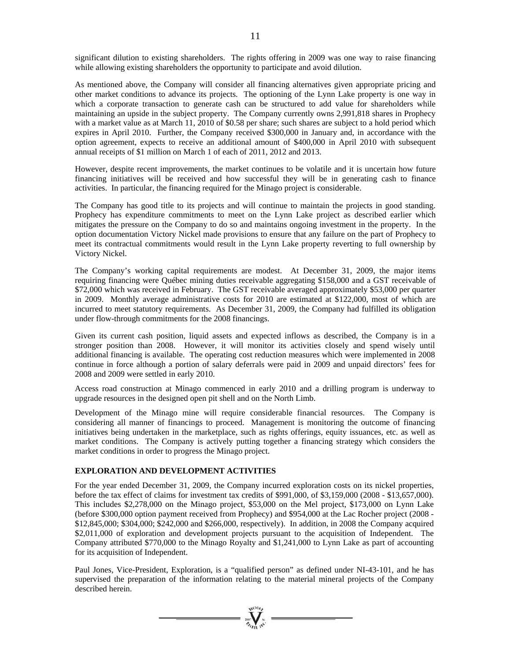significant dilution to existing shareholders. The rights offering in 2009 was one way to raise financing while allowing existing shareholders the opportunity to participate and avoid dilution.

As mentioned above, the Company will consider all financing alternatives given appropriate pricing and other market conditions to advance its projects. The optioning of the Lynn Lake property is one way in which a corporate transaction to generate cash can be structured to add value for shareholders while maintaining an upside in the subject property. The Company currently owns 2,991,818 shares in Prophecy with a market value as at March 11, 2010 of \$0.58 per share; such shares are subject to a hold period which expires in April 2010. Further, the Company received \$300,000 in January and, in accordance with the option agreement, expects to receive an additional amount of \$400,000 in April 2010 with subsequent annual receipts of \$1 million on March 1 of each of 2011, 2012 and 2013.

However, despite recent improvements, the market continues to be volatile and it is uncertain how future financing initiatives will be received and how successful they will be in generating cash to finance activities. In particular, the financing required for the Minago project is considerable.

The Company has good title to its projects and will continue to maintain the projects in good standing. Prophecy has expenditure commitments to meet on the Lynn Lake project as described earlier which mitigates the pressure on the Company to do so and maintains ongoing investment in the property. In the option documentation Victory Nickel made provisions to ensure that any failure on the part of Prophecy to meet its contractual commitments would result in the Lynn Lake property reverting to full ownership by Victory Nickel.

The Company's working capital requirements are modest. At December 31, 2009, the major items requiring financing were Québec mining duties receivable aggregating \$158,000 and a GST receivable of \$72,000 which was received in February. The GST receivable averaged approximately \$53,000 per quarter in 2009. Monthly average administrative costs for 2010 are estimated at \$122,000, most of which are incurred to meet statutory requirements. As December 31, 2009, the Company had fulfilled its obligation under flow-through commitments for the 2008 financings.

Given its current cash position, liquid assets and expected inflows as described, the Company is in a stronger position than 2008. However, it will monitor its activities closely and spend wisely until additional financing is available. The operating cost reduction measures which were implemented in 2008 continue in force although a portion of salary deferrals were paid in 2009 and unpaid directors' fees for 2008 and 2009 were settled in early 2010.

Access road construction at Minago commenced in early 2010 and a drilling program is underway to upgrade resources in the designed open pit shell and on the North Limb.

Development of the Minago mine will require considerable financial resources. The Company is considering all manner of financings to proceed. Management is monitoring the outcome of financing initiatives being undertaken in the marketplace, such as rights offerings, equity issuances, etc. as well as market conditions. The Company is actively putting together a financing strategy which considers the market conditions in order to progress the Minago project.

#### **EXPLORATION AND DEVELOPMENT ACTIVITIES**

For the year ended December 31, 2009, the Company incurred exploration costs on its nickel properties, before the tax effect of claims for investment tax credits of \$991,000, of \$3,159,000 (2008 - \$13,657,000). This includes \$2,278,000 on the Minago project, \$53,000 on the Mel project, \$173,000 on Lynn Lake (before \$300,000 option payment received from Prophecy) and \$954,000 at the Lac Rocher project (2008 - \$12,845,000; \$304,000; \$242,000 and \$266,000, respectively). In addition, in 2008 the Company acquired \$2,011,000 of exploration and development projects pursuant to the acquisition of Independent. The Company attributed \$770,000 to the Minago Royalty and \$1,241,000 to Lynn Lake as part of accounting for its acquisition of Independent.

Paul Jones, Vice-President, Exploration, is a "qualified person" as defined under NI-43-101, and he has supervised the preparation of the information relating to the material mineral projects of the Company described herein.

 $\prod_{\substack{m=1\\ \text{odd }n}}^{\text{Neto}}$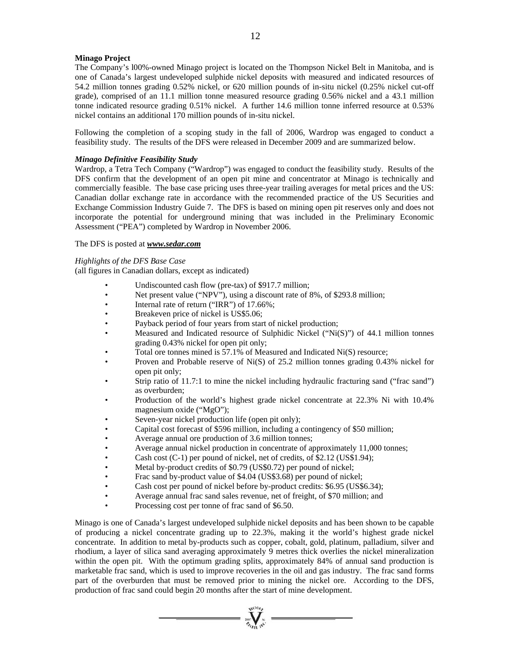# **Minago Project**

The Company's l00%-owned Minago project is located on the Thompson Nickel Belt in Manitoba, and is one of Canada's largest undeveloped sulphide nickel deposits with measured and indicated resources of 54.2 million tonnes grading 0.52% nickel, or 620 million pounds of in-situ nickel (0.25% nickel cut-off grade), comprised of an 11.1 million tonne measured resource grading 0.56% nickel and a 43.1 million tonne indicated resource grading 0.51% nickel. A further 14.6 million tonne inferred resource at 0.53% nickel contains an additional 170 million pounds of in-situ nickel.

Following the completion of a scoping study in the fall of 2006, Wardrop was engaged to conduct a feasibility study. The results of the DFS were released in December 2009 and are summarized below.

#### *Minago Definitive Feasibility Study*

Wardrop, a Tetra Tech Company ("Wardrop") was engaged to conduct the feasibility study. Results of the DFS confirm that the development of an open pit mine and concentrator at Minago is technically and commercially feasible. The base case pricing uses three-year trailing averages for metal prices and the US: Canadian dollar exchange rate in accordance with the recommended practice of the US Securities and Exchange Commission Industry Guide 7. The DFS is based on mining open pit reserves only and does not incorporate the potential for underground mining that was included in the Preliminary Economic Assessment ("PEA") completed by Wardrop in November 2006.

# The DFS is posted at *www.sedar.com*

*Highlights of the DFS Base Case*

(all figures in Canadian dollars, except as indicated)

- Undiscounted cash flow (pre-tax) of \$917.7 million;
- Net present value ("NPV"), using a discount rate of 8%, of \$293.8 million;
- Internal rate of return ("IRR") of 17.66%;
- Breakeven price of nickel is US\$5.06;
- Payback period of four years from start of nickel production:
- Measured and Indicated resource of Sulphidic Nickel ("Ni(S)") of 44.1 million tonnes grading 0.43% nickel for open pit only;
- Total ore tonnes mined is 57.1% of Measured and Indicated Ni(S) resource;
- Proven and Probable reserve of Ni(S) of 25.2 million tonnes grading 0.43% nickel for open pit only;
- Strip ratio of 11.7:1 to mine the nickel including hydraulic fracturing sand ("frac sand") as overburden;
- Production of the world's highest grade nickel concentrate at 22.3% Ni with 10.4% magnesium oxide ("MgO");
- Seven-year nickel production life (open pit only);
- Capital cost forecast of \$596 million, including a contingency of \$50 million;
- Average annual ore production of 3.6 million tonnes;
- Average annual nickel production in concentrate of approximately 11,000 tonnes;
- Cash cost (C-1) per pound of nickel, net of credits, of \$2.12 (US\$1.94);
- Metal by-product credits of \$0.79 (US\$0.72) per pound of nickel;
- Frac sand by-product value of \$4.04 (US\$3.68) per pound of nickel;
- Cash cost per pound of nickel before by-product credits: \$6.95 (US\$6.34);
- Average annual frac sand sales revenue, net of freight, of \$70 million; and
- Processing cost per tonne of frac sand of \$6.50.

Minago is one of Canada's largest undeveloped sulphide nickel deposits and has been shown to be capable of producing a nickel concentrate grading up to 22.3%, making it the world's highest grade nickel concentrate. In addition to metal by-products such as copper, cobalt, gold, platinum, palladium, silver and rhodium, a layer of silica sand averaging approximately 9 metres thick overlies the nickel mineralization within the open pit. With the optimum grading splits, approximately 84% of annual sand production is marketable frac sand, which is used to improve recoveries in the oil and gas industry. The frac sand forms part of the overburden that must be removed prior to mining the nickel ore. According to the DFS, production of frac sand could begin 20 months after the start of mine development.

 $= \sum_{n=1}^{\infty} \sum_{n=1}^{\infty}$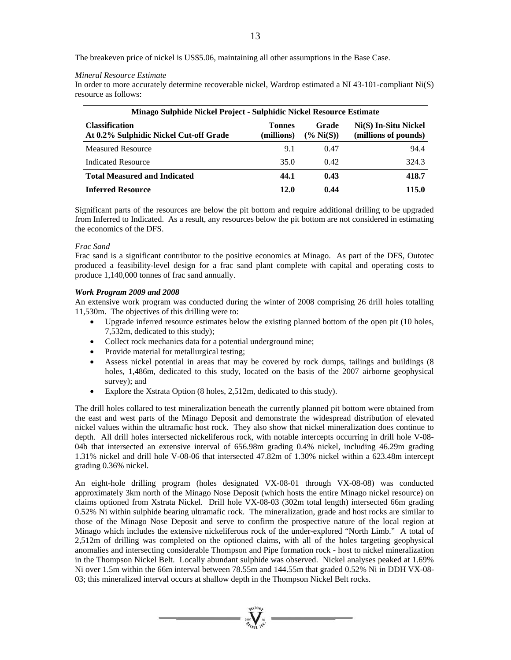The breakeven price of nickel is US\$5.06, maintaining all other assumptions in the Base Case.

#### *Mineral Resource Estimate*

In order to more accurately determine recoverable nickel, Wardrop estimated a NI 43-101-compliant Ni(S) resource as follows:

| Minago Sulphide Nickel Project - Sulphidic Nickel Resource Estimate |                             |                             |                                              |  |  |  |  |  |
|---------------------------------------------------------------------|-----------------------------|-----------------------------|----------------------------------------------|--|--|--|--|--|
| <b>Classification</b><br>At 0.2% Sulphidic Nickel Cut-off Grade     | <b>Tonnes</b><br>(millions) | <b>Grade</b><br>$\%$ Ni(S)) | Ni(S) In-Situ Nickel<br>(millions of pounds) |  |  |  |  |  |
| <b>Measured Resource</b>                                            | 9.1                         | 0.47                        | 94.4                                         |  |  |  |  |  |
| <b>Indicated Resource</b>                                           | 35.0                        | 0.42                        | 324.3                                        |  |  |  |  |  |
| <b>Total Measured and Indicated</b>                                 | 44.1                        | 0.43                        | 418.7                                        |  |  |  |  |  |
| <b>Inferred Resource</b>                                            | 12.0                        | 0.44                        | 115.0                                        |  |  |  |  |  |

Significant parts of the resources are below the pit bottom and require additional drilling to be upgraded from Inferred to Indicated. As a result, any resources below the pit bottom are not considered in estimating the economics of the DFS.

#### *Frac Sand*

Frac sand is a significant contributor to the positive economics at Minago. As part of the DFS, Outotec produced a feasibility-level design for a frac sand plant complete with capital and operating costs to produce 1,140,000 tonnes of frac sand annually.

#### *Work Program 2009 and 2008*

An extensive work program was conducted during the winter of 2008 comprising 26 drill holes totalling 11,530m. The objectives of this drilling were to:

- Upgrade inferred resource estimates below the existing planned bottom of the open pit (10 holes, 7,532m, dedicated to this study);
- Collect rock mechanics data for a potential underground mine;
- Provide material for metallurgical testing;
- Assess nickel potential in areas that may be covered by rock dumps, tailings and buildings (8 holes, 1,486m, dedicated to this study, located on the basis of the 2007 airborne geophysical survey); and
- Explore the Xstrata Option (8 holes, 2,512m, dedicated to this study).

The drill holes collared to test mineralization beneath the currently planned pit bottom were obtained from the east and west parts of the Minago Deposit and demonstrate the widespread distribution of elevated nickel values within the ultramafic host rock. They also show that nickel mineralization does continue to depth. All drill holes intersected nickeliferous rock, with notable intercepts occurring in drill hole V-08- 04b that intersected an extensive interval of 656.98m grading 0.4% nickel, including 46.29m grading 1.31% nickel and drill hole V-08-06 that intersected 47.82m of 1.30% nickel within a 623.48m intercept grading 0.36% nickel.

An eight-hole drilling program (holes designated VX-08-01 through VX-08-08) was conducted approximately 3km north of the Minago Nose Deposit (which hosts the entire Minago nickel resource) on claims optioned from Xstrata Nickel. Drill hole VX-08-03 (302m total length) intersected 66m grading 0.52% Ni within sulphide bearing ultramafic rock. The mineralization, grade and host rocks are similar to those of the Minago Nose Deposit and serve to confirm the prospective nature of the local region at Minago which includes the extensive nickeliferous rock of the under-explored "North Limb." A total of 2,512m of drilling was completed on the optioned claims, with all of the holes targeting geophysical anomalies and intersecting considerable Thompson and Pipe formation rock - host to nickel mineralization in the Thompson Nickel Belt. Locally abundant sulphide was observed. Nickel analyses peaked at 1.69% Ni over 1.5m within the 66m interval between 78.55m and 144.55m that graded 0.52% Ni in DDH VX-08- 03; this mineralized interval occurs at shallow depth in the Thompson Nickel Belt rocks.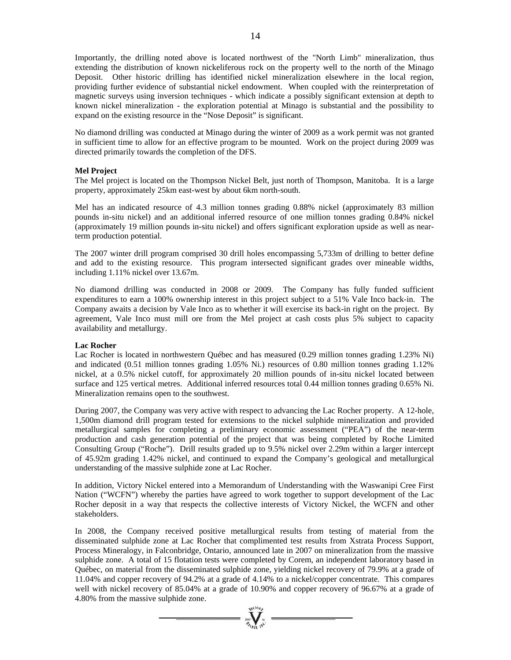Importantly, the drilling noted above is located northwest of the "North Limb" mineralization, thus extending the distribution of known nickeliferous rock on the property well to the north of the Minago Deposit. Other historic drilling has identified nickel mineralization elsewhere in the local region, providing further evidence of substantial nickel endowment. When coupled with the reinterpretation of magnetic surveys using inversion techniques - which indicate a possibly significant extension at depth to known nickel mineralization - the exploration potential at Minago is substantial and the possibility to expand on the existing resource in the "Nose Deposit" is significant.

No diamond drilling was conducted at Minago during the winter of 2009 as a work permit was not granted in sufficient time to allow for an effective program to be mounted. Work on the project during 2009 was directed primarily towards the completion of the DFS.

#### **Mel Project**

The Mel project is located on the Thompson Nickel Belt, just north of Thompson, Manitoba. It is a large property, approximately 25km east-west by about 6km north-south.

Mel has an indicated resource of 4.3 million tonnes grading 0.88% nickel (approximately 83 million pounds in-situ nickel) and an additional inferred resource of one million tonnes grading 0.84% nickel (approximately 19 million pounds in-situ nickel) and offers significant exploration upside as well as nearterm production potential.

The 2007 winter drill program comprised 30 drill holes encompassing 5,733m of drilling to better define and add to the existing resource. This program intersected significant grades over mineable widths, including 1.11% nickel over 13.67m.

No diamond drilling was conducted in 2008 or 2009. The Company has fully funded sufficient expenditures to earn a 100% ownership interest in this project subject to a 51% Vale Inco back-in. The Company awaits a decision by Vale Inco as to whether it will exercise its back-in right on the project. By agreement, Vale Inco must mill ore from the Mel project at cash costs plus 5% subject to capacity availability and metallurgy.

#### **Lac Rocher**

Lac Rocher is located in northwestern Québec and has measured (0.29 million tonnes grading 1.23% Ni) and indicated (0.51 million tonnes grading 1.05% Ni.) resources of 0.80 million tonnes grading 1.12% nickel, at a 0.5% nickel cutoff, for approximately 20 million pounds of in-situ nickel located between surface and 125 vertical metres. Additional inferred resources total 0.44 million tonnes grading 0.65% Ni. Mineralization remains open to the southwest.

During 2007, the Company was very active with respect to advancing the Lac Rocher property. A 12-hole, 1,500m diamond drill program tested for extensions to the nickel sulphide mineralization and provided metallurgical samples for completing a preliminary economic assessment ("PEA") of the near-term production and cash generation potential of the project that was being completed by Roche Limited Consulting Group ("Roche"). Drill results graded up to 9.5% nickel over 2.29m within a larger intercept of 45.92m grading 1.42% nickel, and continued to expand the Company's geological and metallurgical understanding of the massive sulphide zone at Lac Rocher.

In addition, Victory Nickel entered into a Memorandum of Understanding with the Waswanipi Cree First Nation ("WCFN") whereby the parties have agreed to work together to support development of the Lac Rocher deposit in a way that respects the collective interests of Victory Nickel, the WCFN and other stakeholders.

In 2008, the Company received positive metallurgical results from testing of material from the disseminated sulphide zone at Lac Rocher that complimented test results from Xstrata Process Support, Process Mineralogy, in Falconbridge, Ontario, announced late in 2007 on mineralization from the massive sulphide zone. A total of 15 flotation tests were completed by Corem, an independent laboratory based in Québec, on material from the disseminated sulphide zone, yielding nickel recovery of 79.9% at a grade of 11.04% and copper recovery of 94.2% at a grade of 4.14% to a nickel/copper concentrate. This compares well with nickel recovery of 85.04% at a grade of 10.90% and copper recovery of 96.67% at a grade of 4.80% from the massive sulphide zone.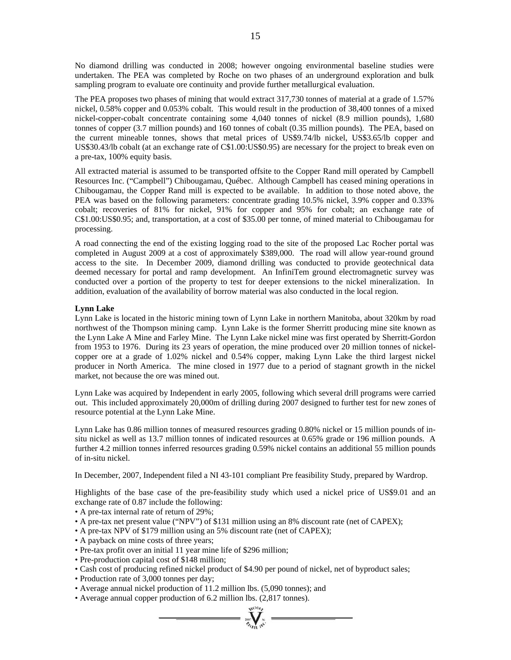No diamond drilling was conducted in 2008; however ongoing environmental baseline studies were undertaken. The PEA was completed by Roche on two phases of an underground exploration and bulk sampling program to evaluate ore continuity and provide further metallurgical evaluation.

The PEA proposes two phases of mining that would extract 317,730 tonnes of material at a grade of 1.57% nickel, 0.58% copper and 0.053% cobalt. This would result in the production of 38,400 tonnes of a mixed nickel-copper-cobalt concentrate containing some 4,040 tonnes of nickel (8.9 million pounds), 1,680 tonnes of copper (3.7 million pounds) and 160 tonnes of cobalt (0.35 million pounds). The PEA, based on the current mineable tonnes, shows that metal prices of US\$9.74/lb nickel, US\$3.65/lb copper and US\$30.43/lb cobalt (at an exchange rate of C\$1.00:US\$0.95) are necessary for the project to break even on a pre-tax, 100% equity basis.

All extracted material is assumed to be transported offsite to the Copper Rand mill operated by Campbell Resources Inc. ("Campbell") Chibougamau, Québec. Although Campbell has ceased mining operations in Chibougamau, the Copper Rand mill is expected to be available. In addition to those noted above, the PEA was based on the following parameters: concentrate grading 10.5% nickel, 3.9% copper and 0.33% cobalt; recoveries of 81% for nickel, 91% for copper and 95% for cobalt; an exchange rate of C\$1.00:US\$0.95; and, transportation, at a cost of \$35.00 per tonne, of mined material to Chibougamau for processing.

A road connecting the end of the existing logging road to the site of the proposed Lac Rocher portal was completed in August 2009 at a cost of approximately \$389,000. The road will allow year-round ground access to the site. In December 2009, diamond drilling was conducted to provide geotechnical data deemed necessary for portal and ramp development. An InfiniTem ground electromagnetic survey was conducted over a portion of the property to test for deeper extensions to the nickel mineralization. In addition, evaluation of the availability of borrow material was also conducted in the local region.

#### **Lynn Lake**

Lynn Lake is located in the historic mining town of Lynn Lake in northern Manitoba, about 320km by road northwest of the Thompson mining camp. Lynn Lake is the former Sherritt producing mine site known as the Lynn Lake A Mine and Farley Mine. The Lynn Lake nickel mine was first operated by Sherritt-Gordon from 1953 to 1976. During its 23 years of operation, the mine produced over 20 million tonnes of nickelcopper ore at a grade of 1.02% nickel and 0.54% copper, making Lynn Lake the third largest nickel producer in North America. The mine closed in 1977 due to a period of stagnant growth in the nickel market, not because the ore was mined out.

Lynn Lake was acquired by Independent in early 2005, following which several drill programs were carried out. This included approximately 20,000m of drilling during 2007 designed to further test for new zones of resource potential at the Lynn Lake Mine.

Lynn Lake has 0.86 million tonnes of measured resources grading 0.80% nickel or 15 million pounds of insitu nickel as well as 13.7 million tonnes of indicated resources at 0.65% grade or 196 million pounds. A further 4.2 million tonnes inferred resources grading 0.59% nickel contains an additional 55 million pounds of in-situ nickel.

In December, 2007, Independent filed a NI 43-101 compliant Pre feasibility Study, prepared by Wardrop.

Highlights of the base case of the pre-feasibility study which used a nickel price of US\$9.01 and an exchange rate of 0.87 include the following:

- A pre-tax internal rate of return of 29%;
- A pre-tax net present value ("NPV") of \$131 million using an 8% discount rate (net of CAPEX);
- A pre-tax NPV of \$179 million using an 5% discount rate (net of CAPEX);
- A payback on mine costs of three years;
- Pre-tax profit over an initial 11 year mine life of \$296 million;
- Pre-production capital cost of \$148 million;
- Cash cost of producing refined nickel product of \$4.90 per pound of nickel, net of byproduct sales;

- Production rate of 3,000 tonnes per day;
- Average annual nickel production of 11.2 million lbs. (5,090 tonnes); and
- Average annual copper production of 6.2 million lbs. (2,817 tonnes).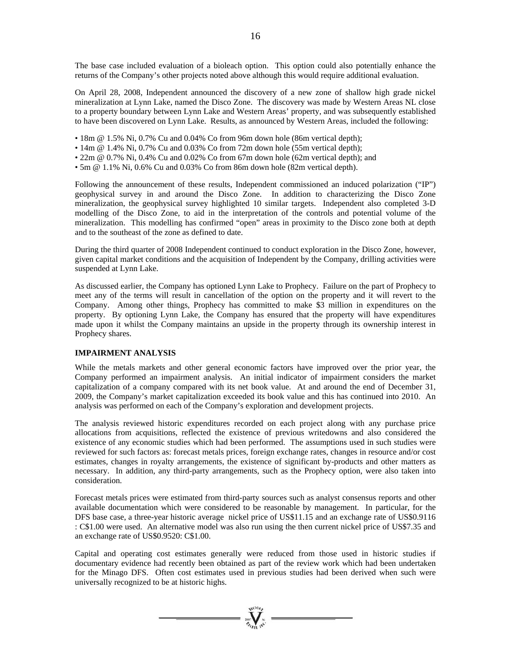The base case included evaluation of a bioleach option. This option could also potentially enhance the returns of the Company's other projects noted above although this would require additional evaluation.

On April 28, 2008, Independent announced the discovery of a new zone of shallow high grade nickel mineralization at Lynn Lake, named the Disco Zone. The discovery was made by Western Areas NL close to a property boundary between Lynn Lake and Western Areas' property, and was subsequently established to have been discovered on Lynn Lake. Results, as announced by Western Areas, included the following:

- 18m @ 1.5% Ni, 0.7% Cu and 0.04% Co from 96m down hole (86m vertical depth);
- 14m @ 1.4% Ni, 0.7% Cu and 0.03% Co from 72m down hole (55m vertical depth);
- 22m @ 0.7% Ni, 0.4% Cu and 0.02% Co from 67m down hole (62m vertical depth); and
- 5m @ 1.1% Ni, 0.6% Cu and 0.03% Co from 86m down hole (82m vertical depth).

Following the announcement of these results, Independent commissioned an induced polarization ("IP") geophysical survey in and around the Disco Zone. In addition to characterizing the Disco Zone mineralization, the geophysical survey highlighted 10 similar targets. Independent also completed 3-D modelling of the Disco Zone, to aid in the interpretation of the controls and potential volume of the mineralization. This modelling has confirmed "open" areas in proximity to the Disco zone both at depth and to the southeast of the zone as defined to date.

During the third quarter of 2008 Independent continued to conduct exploration in the Disco Zone, however, given capital market conditions and the acquisition of Independent by the Company, drilling activities were suspended at Lynn Lake.

As discussed earlier, the Company has optioned Lynn Lake to Prophecy. Failure on the part of Prophecy to meet any of the terms will result in cancellation of the option on the property and it will revert to the Company. Among other things, Prophecy has committed to make \$3 million in expenditures on the property. By optioning Lynn Lake, the Company has ensured that the property will have expenditures made upon it whilst the Company maintains an upside in the property through its ownership interest in Prophecy shares.

# **IMPAIRMENT ANALYSIS**

While the metals markets and other general economic factors have improved over the prior year, the Company performed an impairment analysis. An initial indicator of impairment considers the market capitalization of a company compared with its net book value. At and around the end of December 31, 2009, the Company's market capitalization exceeded its book value and this has continued into 2010. An analysis was performed on each of the Company's exploration and development projects.

The analysis reviewed historic expenditures recorded on each project along with any purchase price allocations from acquisitions, reflected the existence of previous writedowns and also considered the existence of any economic studies which had been performed. The assumptions used in such studies were reviewed for such factors as: forecast metals prices, foreign exchange rates, changes in resource and/or cost estimates, changes in royalty arrangements, the existence of significant by-products and other matters as necessary. In addition, any third-party arrangements, such as the Prophecy option, were also taken into consideration.

Forecast metals prices were estimated from third-party sources such as analyst consensus reports and other available documentation which were considered to be reasonable by management. In particular, for the DFS base case, a three-year historic average nickel price of US\$11.15 and an exchange rate of US\$0.9116 : C\$1.00 were used. An alternative model was also run using the then current nickel price of US\$7.35 and an exchange rate of US\$0.9520: C\$1.00.

Capital and operating cost estimates generally were reduced from those used in historic studies if documentary evidence had recently been obtained as part of the review work which had been undertaken for the Minago DFS. Often cost estimates used in previous studies had been derived when such were universally recognized to be at historic highs.

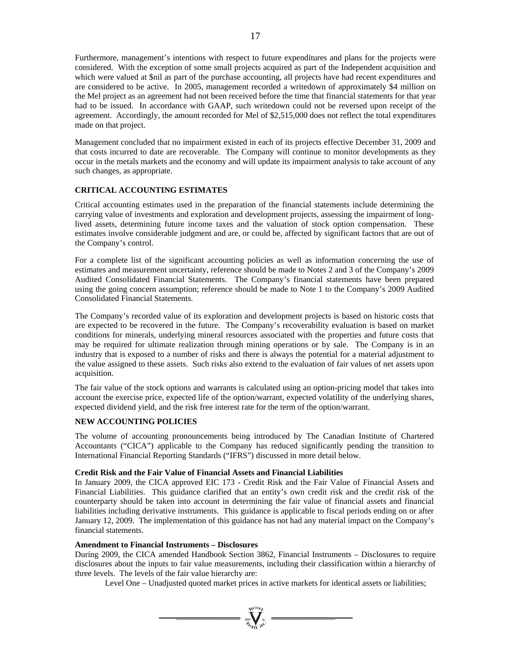Furthermore, management's intentions with respect to future expenditures and plans for the projects were considered. With the exception of some small projects acquired as part of the Independent acquisition and which were valued at \$nil as part of the purchase accounting, all projects have had recent expenditures and are considered to be active. In 2005, management recorded a writedown of approximately \$4 million on the Mel project as an agreement had not been received before the time that financial statements for that year had to be issued. In accordance with GAAP, such writedown could not be reversed upon receipt of the agreement. Accordingly, the amount recorded for Mel of \$2,515,000 does not reflect the total expenditures made on that project.

Management concluded that no impairment existed in each of its projects effective December 31, 2009 and that costs incurred to date are recoverable. The Company will continue to monitor developments as they occur in the metals markets and the economy and will update its impairment analysis to take account of any such changes, as appropriate.

# **CRITICAL ACCOUNTING ESTIMATES**

Critical accounting estimates used in the preparation of the financial statements include determining the carrying value of investments and exploration and development projects, assessing the impairment of longlived assets, determining future income taxes and the valuation of stock option compensation. These estimates involve considerable judgment and are, or could be, affected by significant factors that are out of the Company's control.

For a complete list of the significant accounting policies as well as information concerning the use of estimates and measurement uncertainty, reference should be made to Notes 2 and 3 of the Company's 2009 Audited Consolidated Financial Statements. The Company's financial statements have been prepared using the going concern assumption; reference should be made to Note 1 to the Company's 2009 Audited Consolidated Financial Statements.

The Company's recorded value of its exploration and development projects is based on historic costs that are expected to be recovered in the future. The Company's recoverability evaluation is based on market conditions for minerals, underlying mineral resources associated with the properties and future costs that may be required for ultimate realization through mining operations or by sale. The Company is in an industry that is exposed to a number of risks and there is always the potential for a material adjustment to the value assigned to these assets. Such risks also extend to the evaluation of fair values of net assets upon acquisition.

The fair value of the stock options and warrants is calculated using an option-pricing model that takes into account the exercise price, expected life of the option/warrant, expected volatility of the underlying shares, expected dividend yield, and the risk free interest rate for the term of the option/warrant.

# **NEW ACCOUNTING POLICIES**

The volume of accounting pronouncements being introduced by The Canadian Institute of Chartered Accountants ("CICA") applicable to the Company has reduced significantly pending the transition to International Financial Reporting Standards ("IFRS") discussed in more detail below.

# **Credit Risk and the Fair Value of Financial Assets and Financial Liabilities**

In January 2009, the CICA approved EIC 173 - Credit Risk and the Fair Value of Financial Assets and Financial Liabilities. This guidance clarified that an entity's own credit risk and the credit risk of the counterparty should be taken into account in determining the fair value of financial assets and financial liabilities including derivative instruments. This guidance is applicable to fiscal periods ending on or after January 12, 2009. The implementation of this guidance has not had any material impact on the Company's financial statements.

#### **Amendment to Financial Instruments – Disclosures**

During 2009, the CICA amended Handbook Section 3862, Financial Instruments – Disclosures to require disclosures about the inputs to fair value measurements, including their classification within a hierarchy of three levels. The levels of the fair value hierarchy are:

 $\sum_{n=1}^{\infty} \sum_{n=1}^{\infty}$ 

Level One – Unadjusted quoted market prices in active markets for identical assets or liabilities;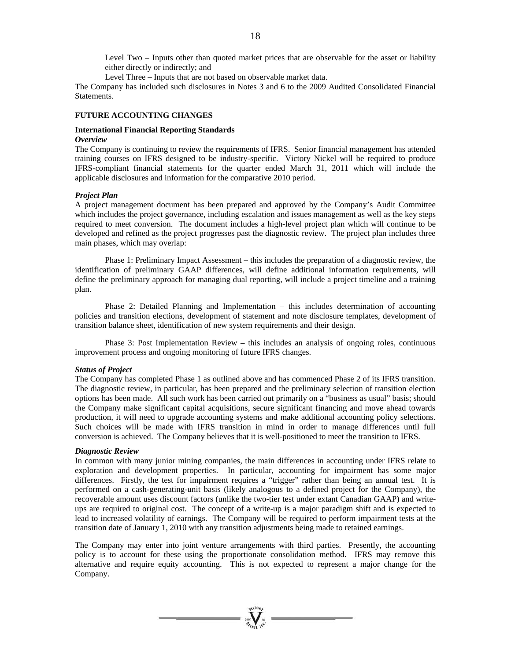Level Two – Inputs other than quoted market prices that are observable for the asset or liability either directly or indirectly; and

Level Three – Inputs that are not based on observable market data.

The Company has included such disclosures in Notes 3 and 6 to the 2009 Audited Consolidated Financial Statements.

#### **FUTURE ACCOUNTING CHANGES**

#### **International Financial Reporting Standards**  *Overview*

The Company is continuing to review the requirements of IFRS. Senior financial management has attended training courses on IFRS designed to be industry-specific. Victory Nickel will be required to produce IFRS-compliant financial statements for the quarter ended March 31, 2011 which will include the applicable disclosures and information for the comparative 2010 period.

#### *Project Plan*

A project management document has been prepared and approved by the Company's Audit Committee which includes the project governance, including escalation and issues management as well as the key steps required to meet conversion. The document includes a high-level project plan which will continue to be developed and refined as the project progresses past the diagnostic review. The project plan includes three main phases, which may overlap:

 Phase 1: Preliminary Impact Assessment – this includes the preparation of a diagnostic review, the identification of preliminary GAAP differences, will define additional information requirements, will define the preliminary approach for managing dual reporting, will include a project timeline and a training plan.

 Phase 2: Detailed Planning and Implementation – this includes determination of accounting policies and transition elections, development of statement and note disclosure templates, development of transition balance sheet, identification of new system requirements and their design.

 Phase 3: Post Implementation Review – this includes an analysis of ongoing roles, continuous improvement process and ongoing monitoring of future IFRS changes.

#### *Status of Project*

The Company has completed Phase 1 as outlined above and has commenced Phase 2 of its IFRS transition. The diagnostic review, in particular, has been prepared and the preliminary selection of transition election options has been made. All such work has been carried out primarily on a "business as usual" basis; should the Company make significant capital acquisitions, secure significant financing and move ahead towards production, it will need to upgrade accounting systems and make additional accounting policy selections. Such choices will be made with IFRS transition in mind in order to manage differences until full conversion is achieved. The Company believes that it is well-positioned to meet the transition to IFRS.

#### *Diagnostic Review*

In common with many junior mining companies, the main differences in accounting under IFRS relate to exploration and development properties. In particular, accounting for impairment has some major differences. Firstly, the test for impairment requires a "trigger" rather than being an annual test. It is performed on a cash-generating-unit basis (likely analogous to a defined project for the Company), the recoverable amount uses discount factors (unlike the two-tier test under extant Canadian GAAP) and writeups are required to original cost. The concept of a write-up is a major paradigm shift and is expected to lead to increased volatility of earnings. The Company will be required to perform impairment tests at the transition date of January 1, 2010 with any transition adjustments being made to retained earnings.

The Company may enter into joint venture arrangements with third parties. Presently, the accounting policy is to account for these using the proportionate consolidation method. IFRS may remove this alternative and require equity accounting. This is not expected to represent a major change for the Company.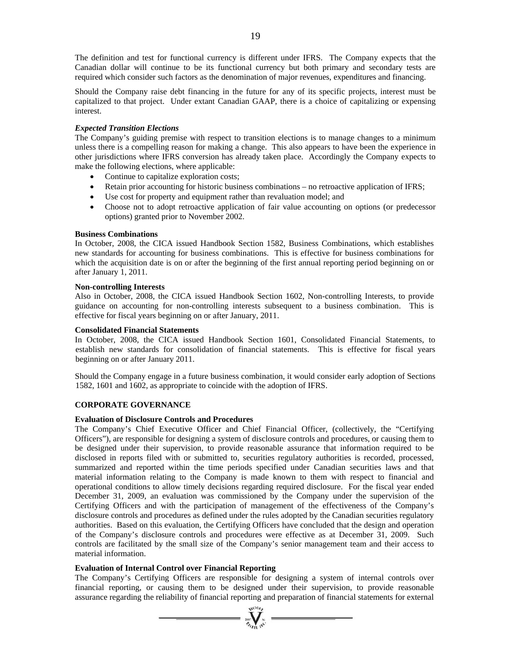The definition and test for functional currency is different under IFRS. The Company expects that the Canadian dollar will continue to be its functional currency but both primary and secondary tests are required which consider such factors as the denomination of major revenues, expenditures and financing.

Should the Company raise debt financing in the future for any of its specific projects, interest must be capitalized to that project. Under extant Canadian GAAP, there is a choice of capitalizing or expensing interest.

# *Expected Transition Elections*

The Company's guiding premise with respect to transition elections is to manage changes to a minimum unless there is a compelling reason for making a change. This also appears to have been the experience in other jurisdictions where IFRS conversion has already taken place. Accordingly the Company expects to make the following elections, where applicable:

- Continue to capitalize exploration costs;
- Retain prior accounting for historic business combinations no retroactive application of IFRS;
- Use cost for property and equipment rather than revaluation model; and
- Choose not to adopt retroactive application of fair value accounting on options (or predecessor options) granted prior to November 2002.

#### **Business Combinations**

In October, 2008, the CICA issued Handbook Section 1582, Business Combinations, which establishes new standards for accounting for business combinations. This is effective for business combinations for which the acquisition date is on or after the beginning of the first annual reporting period beginning on or after January 1, 2011.

#### **Non-controlling Interests**

Also in October, 2008, the CICA issued Handbook Section 1602, Non-controlling Interests, to provide guidance on accounting for non-controlling interests subsequent to a business combination. This is effective for fiscal years beginning on or after January, 2011.

#### **Consolidated Financial Statements**

In October, 2008, the CICA issued Handbook Section 1601, Consolidated Financial Statements, to establish new standards for consolidation of financial statements. This is effective for fiscal years beginning on or after January 2011.

Should the Company engage in a future business combination, it would consider early adoption of Sections 1582, 1601 and 1602, as appropriate to coincide with the adoption of IFRS.

# **CORPORATE GOVERNANCE**

#### **Evaluation of Disclosure Controls and Procedures**

The Company's Chief Executive Officer and Chief Financial Officer, (collectively, the "Certifying Officers"), are responsible for designing a system of disclosure controls and procedures, or causing them to be designed under their supervision, to provide reasonable assurance that information required to be disclosed in reports filed with or submitted to, securities regulatory authorities is recorded, processed, summarized and reported within the time periods specified under Canadian securities laws and that material information relating to the Company is made known to them with respect to financial and operational conditions to allow timely decisions regarding required disclosure. For the fiscal year ended December 31, 2009, an evaluation was commissioned by the Company under the supervision of the Certifying Officers and with the participation of management of the effectiveness of the Company's disclosure controls and procedures as defined under the rules adopted by the Canadian securities regulatory authorities. Based on this evaluation, the Certifying Officers have concluded that the design and operation of the Company's disclosure controls and procedures were effective as at December 31, 2009. Such controls are facilitated by the small size of the Company's senior management team and their access to material information.

# **Evaluation of Internal Control over Financial Reporting**

The Company's Certifying Officers are responsible for designing a system of internal controls over financial reporting, or causing them to be designed under their supervision, to provide reasonable assurance regarding the reliability of financial reporting and preparation of financial statements for external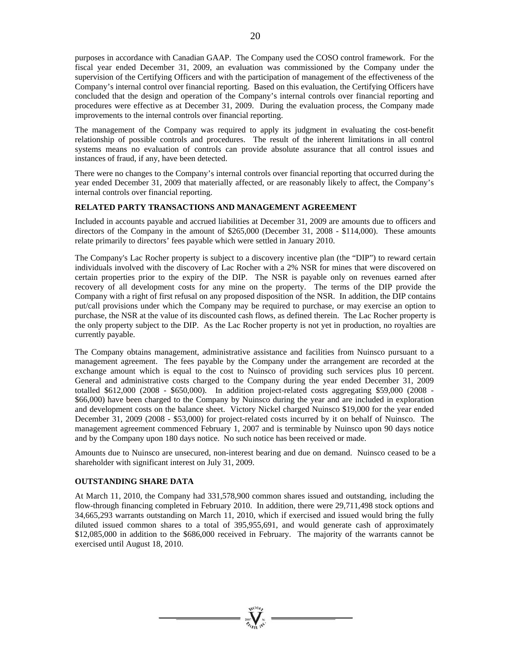purposes in accordance with Canadian GAAP. The Company used the COSO control framework. For the fiscal year ended December 31, 2009, an evaluation was commissioned by the Company under the supervision of the Certifying Officers and with the participation of management of the effectiveness of the Company's internal control over financial reporting. Based on this evaluation, the Certifying Officers have concluded that the design and operation of the Company's internal controls over financial reporting and procedures were effective as at December 31, 2009. During the evaluation process, the Company made improvements to the internal controls over financial reporting.

The management of the Company was required to apply its judgment in evaluating the cost-benefit relationship of possible controls and procedures. The result of the inherent limitations in all control systems means no evaluation of controls can provide absolute assurance that all control issues and instances of fraud, if any, have been detected.

There were no changes to the Company's internal controls over financial reporting that occurred during the year ended December 31, 2009 that materially affected, or are reasonably likely to affect, the Company's internal controls over financial reporting.

#### **RELATED PARTY TRANSACTIONS AND MANAGEMENT AGREEMENT**

Included in accounts payable and accrued liabilities at December 31, 2009 are amounts due to officers and directors of the Company in the amount of \$265,000 (December 31, 2008 - \$114,000). These amounts relate primarily to directors' fees payable which were settled in January 2010.

The Company's Lac Rocher property is subject to a discovery incentive plan (the "DIP") to reward certain individuals involved with the discovery of Lac Rocher with a 2% NSR for mines that were discovered on certain properties prior to the expiry of the DIP. The NSR is payable only on revenues earned after recovery of all development costs for any mine on the property. The terms of the DIP provide the Company with a right of first refusal on any proposed disposition of the NSR. In addition, the DIP contains put/call provisions under which the Company may be required to purchase, or may exercise an option to purchase, the NSR at the value of its discounted cash flows, as defined therein. The Lac Rocher property is the only property subject to the DIP. As the Lac Rocher property is not yet in production, no royalties are currently payable.

The Company obtains management, administrative assistance and facilities from Nuinsco pursuant to a management agreement. The fees payable by the Company under the arrangement are recorded at the exchange amount which is equal to the cost to Nuinsco of providing such services plus 10 percent. General and administrative costs charged to the Company during the year ended December 31, 2009 totalled \$612,000 (2008 - \$650,000). In addition project-related costs aggregating \$59,000 (2008 - \$66,000) have been charged to the Company by Nuinsco during the year and are included in exploration and development costs on the balance sheet. Victory Nickel charged Nuinsco \$19,000 for the year ended December 31, 2009 (2008 - \$53,000) for project-related costs incurred by it on behalf of Nuinsco. The management agreement commenced February 1, 2007 and is terminable by Nuinsco upon 90 days notice and by the Company upon 180 days notice. No such notice has been received or made.

Amounts due to Nuinsco are unsecured, non-interest bearing and due on demand. Nuinsco ceased to be a shareholder with significant interest on July 31, 2009.

#### **OUTSTANDING SHARE DATA**

At March 11, 2010, the Company had 331,578,900 common shares issued and outstanding, including the flow-through financing completed in February 2010. In addition, there were 29,711,498 stock options and 34,665,293 warrants outstanding on March 11, 2010, which if exercised and issued would bring the fully diluted issued common shares to a total of 395,955,691, and would generate cash of approximately \$12,085,000 in addition to the \$686,000 received in February. The majority of the warrants cannot be exercised until August 18, 2010.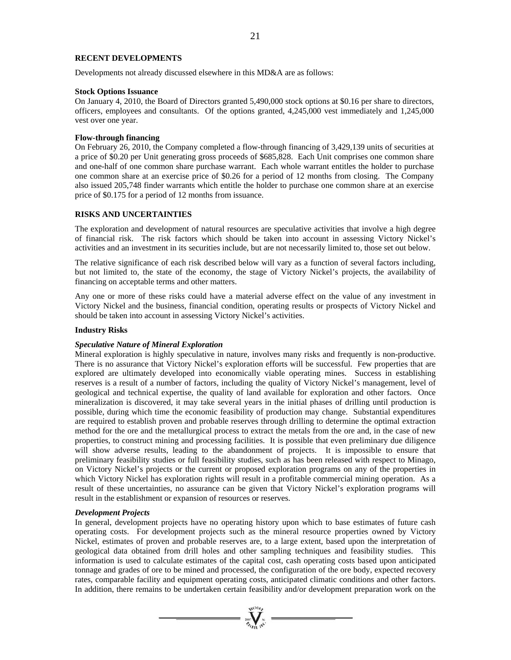# **RECENT DEVELOPMENTS**

Developments not already discussed elsewhere in this MD&A are as follows:

#### **Stock Options Issuance**

On January 4, 2010, the Board of Directors granted 5,490,000 stock options at \$0.16 per share to directors, officers, employees and consultants. Of the options granted, 4,245,000 vest immediately and 1,245,000 vest over one year.

#### **Flow-through financing**

On February 26, 2010, the Company completed a flow-through financing of 3,429,139 units of securities at a price of \$0.20 per Unit generating gross proceeds of \$685,828. Each Unit comprises one common share and one-half of one common share purchase warrant. Each whole warrant entitles the holder to purchase one common share at an exercise price of \$0.26 for a period of 12 months from closing. The Company also issued 205,748 finder warrants which entitle the holder to purchase one common share at an exercise price of \$0.175 for a period of 12 months from issuance.

#### **RISKS AND UNCERTAINTIES**

The exploration and development of natural resources are speculative activities that involve a high degree of financial risk. The risk factors which should be taken into account in assessing Victory Nickel's activities and an investment in its securities include, but are not necessarily limited to, those set out below.

The relative significance of each risk described below will vary as a function of several factors including, but not limited to, the state of the economy, the stage of Victory Nickel's projects, the availability of financing on acceptable terms and other matters.

Any one or more of these risks could have a material adverse effect on the value of any investment in Victory Nickel and the business, financial condition, operating results or prospects of Victory Nickel and should be taken into account in assessing Victory Nickel's activities.

## **Industry Risks**

#### *Speculative Nature of Mineral Exploration*

Mineral exploration is highly speculative in nature, involves many risks and frequently is non-productive. There is no assurance that Victory Nickel's exploration efforts will be successful. Few properties that are explored are ultimately developed into economically viable operating mines. Success in establishing reserves is a result of a number of factors, including the quality of Victory Nickel's management, level of geological and technical expertise, the quality of land available for exploration and other factors. Once mineralization is discovered, it may take several years in the initial phases of drilling until production is possible, during which time the economic feasibility of production may change. Substantial expenditures are required to establish proven and probable reserves through drilling to determine the optimal extraction method for the ore and the metallurgical process to extract the metals from the ore and, in the case of new properties, to construct mining and processing facilities. It is possible that even preliminary due diligence will show adverse results, leading to the abandonment of projects. It is impossible to ensure that preliminary feasibility studies or full feasibility studies, such as has been released with respect to Minago, on Victory Nickel's projects or the current or proposed exploration programs on any of the properties in which Victory Nickel has exploration rights will result in a profitable commercial mining operation. As a result of these uncertainties, no assurance can be given that Victory Nickel's exploration programs will result in the establishment or expansion of resources or reserves.

#### *Development Projects*

In general, development projects have no operating history upon which to base estimates of future cash operating costs. For development projects such as the mineral resource properties owned by Victory Nickel, estimates of proven and probable reserves are, to a large extent, based upon the interpretation of geological data obtained from drill holes and other sampling techniques and feasibility studies. This information is used to calculate estimates of the capital cost, cash operating costs based upon anticipated tonnage and grades of ore to be mined and processed, the configuration of the ore body, expected recovery rates, comparable facility and equipment operating costs, anticipated climatic conditions and other factors. In addition, there remains to be undertaken certain feasibility and/or development preparation work on the

 $\sum_{i=1}^{n}$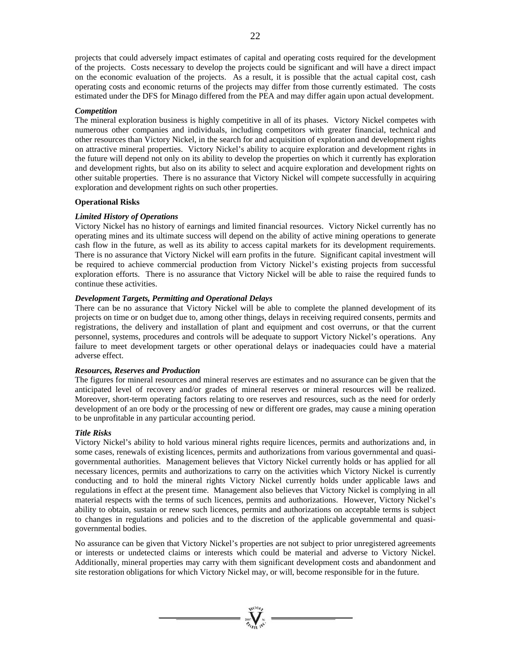projects that could adversely impact estimates of capital and operating costs required for the development of the projects. Costs necessary to develop the projects could be significant and will have a direct impact on the economic evaluation of the projects. As a result, it is possible that the actual capital cost, cash operating costs and economic returns of the projects may differ from those currently estimated. The costs estimated under the DFS for Minago differed from the PEA and may differ again upon actual development.

# *Competition*

The mineral exploration business is highly competitive in all of its phases. Victory Nickel competes with numerous other companies and individuals, including competitors with greater financial, technical and other resources than Victory Nickel, in the search for and acquisition of exploration and development rights on attractive mineral properties. Victory Nickel's ability to acquire exploration and development rights in the future will depend not only on its ability to develop the properties on which it currently has exploration and development rights, but also on its ability to select and acquire exploration and development rights on other suitable properties. There is no assurance that Victory Nickel will compete successfully in acquiring exploration and development rights on such other properties.

#### **Operational Risks**

# *Limited History of Operations*

Victory Nickel has no history of earnings and limited financial resources. Victory Nickel currently has no operating mines and its ultimate success will depend on the ability of active mining operations to generate cash flow in the future, as well as its ability to access capital markets for its development requirements. There is no assurance that Victory Nickel will earn profits in the future. Significant capital investment will be required to achieve commercial production from Victory Nickel's existing projects from successful exploration efforts. There is no assurance that Victory Nickel will be able to raise the required funds to continue these activities.

# *Development Targets, Permitting and Operational Delays*

There can be no assurance that Victory Nickel will be able to complete the planned development of its projects on time or on budget due to, among other things, delays in receiving required consents, permits and registrations, the delivery and installation of plant and equipment and cost overruns, or that the current personnel, systems, procedures and controls will be adequate to support Victory Nickel's operations. Any failure to meet development targets or other operational delays or inadequacies could have a material adverse effect.

### *Resources, Reserves and Production*

The figures for mineral resources and mineral reserves are estimates and no assurance can be given that the anticipated level of recovery and/or grades of mineral reserves or mineral resources will be realized. Moreover, short-term operating factors relating to ore reserves and resources, such as the need for orderly development of an ore body or the processing of new or different ore grades, may cause a mining operation to be unprofitable in any particular accounting period.

#### *Title Risks*

Victory Nickel's ability to hold various mineral rights require licences, permits and authorizations and, in some cases, renewals of existing licences, permits and authorizations from various governmental and quasigovernmental authorities. Management believes that Victory Nickel currently holds or has applied for all necessary licences, permits and authorizations to carry on the activities which Victory Nickel is currently conducting and to hold the mineral rights Victory Nickel currently holds under applicable laws and regulations in effect at the present time. Management also believes that Victory Nickel is complying in all material respects with the terms of such licences, permits and authorizations. However, Victory Nickel's ability to obtain, sustain or renew such licences, permits and authorizations on acceptable terms is subject to changes in regulations and policies and to the discretion of the applicable governmental and quasigovernmental bodies.

No assurance can be given that Victory Nickel's properties are not subject to prior unregistered agreements or interests or undetected claims or interests which could be material and adverse to Victory Nickel. Additionally, mineral properties may carry with them significant development costs and abandonment and site restoration obligations for which Victory Nickel may, or will, become responsible for in the future.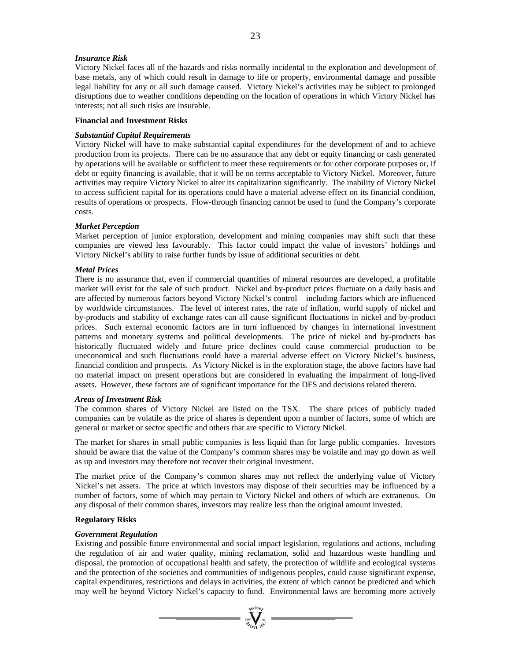#### *Insurance Risk*

Victory Nickel faces all of the hazards and risks normally incidental to the exploration and development of base metals, any of which could result in damage to life or property, environmental damage and possible legal liability for any or all such damage caused. Victory Nickel's activities may be subject to prolonged disruptions due to weather conditions depending on the location of operations in which Victory Nickel has interests; not all such risks are insurable.

#### **Financial and Investment Risks**

#### *Substantial Capital Requirements*

Victory Nickel will have to make substantial capital expenditures for the development of and to achieve production from its projects. There can be no assurance that any debt or equity financing or cash generated by operations will be available or sufficient to meet these requirements or for other corporate purposes or, if debt or equity financing is available, that it will be on terms acceptable to Victory Nickel. Moreover, future activities may require Victory Nickel to alter its capitalization significantly. The inability of Victory Nickel to access sufficient capital for its operations could have a material adverse effect on its financial condition, results of operations or prospects. Flow-through financing cannot be used to fund the Company's corporate costs.

# *Market Perception*

Market perception of junior exploration, development and mining companies may shift such that these companies are viewed less favourably. This factor could impact the value of investors' holdings and Victory Nickel's ability to raise further funds by issue of additional securities or debt.

# *Metal Prices*

There is no assurance that, even if commercial quantities of mineral resources are developed, a profitable market will exist for the sale of such product. Nickel and by-product prices fluctuate on a daily basis and are affected by numerous factors beyond Victory Nickel's control – including factors which are influenced by worldwide circumstances. The level of interest rates, the rate of inflation, world supply of nickel and by-products and stability of exchange rates can all cause significant fluctuations in nickel and by-product prices. Such external economic factors are in turn influenced by changes in international investment patterns and monetary systems and political developments. The price of nickel and by-products has historically fluctuated widely and future price declines could cause commercial production to be uneconomical and such fluctuations could have a material adverse effect on Victory Nickel's business, financial condition and prospects. As Victory Nickel is in the exploration stage, the above factors have had no material impact on present operations but are considered in evaluating the impairment of long-lived assets. However, these factors are of significant importance for the DFS and decisions related thereto.

#### *Areas of Investment Risk*

The common shares of Victory Nickel are listed on the TSX. The share prices of publicly traded companies can be volatile as the price of shares is dependent upon a number of factors, some of which are general or market or sector specific and others that are specific to Victory Nickel.

The market for shares in small public companies is less liquid than for large public companies. Investors should be aware that the value of the Company's common shares may be volatile and may go down as well as up and investors may therefore not recover their original investment.

The market price of the Company's common shares may not reflect the underlying value of Victory Nickel's net assets. The price at which investors may dispose of their securities may be influenced by a number of factors, some of which may pertain to Victory Nickel and others of which are extraneous. On any disposal of their common shares, investors may realize less than the original amount invested.

#### **Regulatory Risks**

#### *Government Regulation*

Existing and possible future environmental and social impact legislation, regulations and actions, including the regulation of air and water quality, mining reclamation, solid and hazardous waste handling and disposal, the promotion of occupational health and safety, the protection of wildlife and ecological systems and the protection of the societies and communities of indigenous peoples, could cause significant expense, capital expenditures, restrictions and delays in activities, the extent of which cannot be predicted and which may well be beyond Victory Nickel's capacity to fund. Environmental laws are becoming more actively

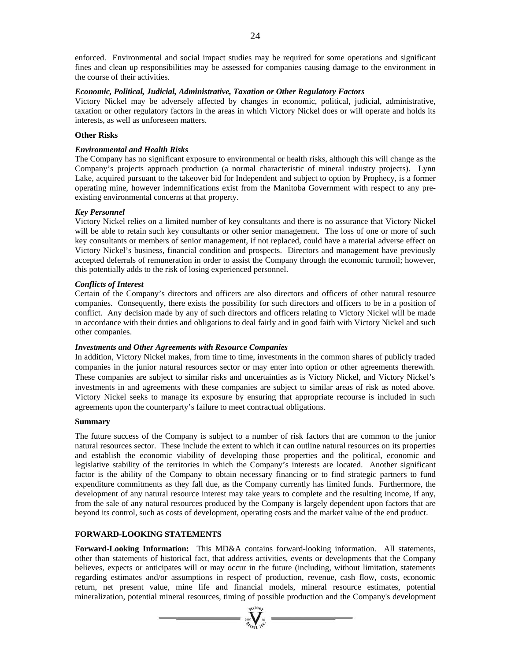enforced. Environmental and social impact studies may be required for some operations and significant fines and clean up responsibilities may be assessed for companies causing damage to the environment in the course of their activities.

## *Economic, Political, Judicial, Administrative, Taxation or Other Regulatory Factors*

Victory Nickel may be adversely affected by changes in economic, political, judicial, administrative, taxation or other regulatory factors in the areas in which Victory Nickel does or will operate and holds its interests, as well as unforeseen matters.

# **Other Risks**

## *Environmental and Health Risks*

The Company has no significant exposure to environmental or health risks, although this will change as the Company's projects approach production (a normal characteristic of mineral industry projects). Lynn Lake, acquired pursuant to the takeover bid for Independent and subject to option by Prophecy, is a former operating mine, however indemnifications exist from the Manitoba Government with respect to any preexisting environmental concerns at that property.

# *Key Personnel*

Victory Nickel relies on a limited number of key consultants and there is no assurance that Victory Nickel will be able to retain such key consultants or other senior management. The loss of one or more of such key consultants or members of senior management, if not replaced, could have a material adverse effect on Victory Nickel's business, financial condition and prospects. Directors and management have previously accepted deferrals of remuneration in order to assist the Company through the economic turmoil; however, this potentially adds to the risk of losing experienced personnel.

# *Conflicts of Interest*

Certain of the Company's directors and officers are also directors and officers of other natural resource companies. Consequently, there exists the possibility for such directors and officers to be in a position of conflict. Any decision made by any of such directors and officers relating to Victory Nickel will be made in accordance with their duties and obligations to deal fairly and in good faith with Victory Nickel and such other companies.

#### *Investments and Other Agreements with Resource Companies*

In addition, Victory Nickel makes, from time to time, investments in the common shares of publicly traded companies in the junior natural resources sector or may enter into option or other agreements therewith. These companies are subject to similar risks and uncertainties as is Victory Nickel, and Victory Nickel's investments in and agreements with these companies are subject to similar areas of risk as noted above. Victory Nickel seeks to manage its exposure by ensuring that appropriate recourse is included in such agreements upon the counterparty's failure to meet contractual obligations.

### **Summary**

The future success of the Company is subject to a number of risk factors that are common to the junior natural resources sector. These include the extent to which it can outline natural resources on its properties and establish the economic viability of developing those properties and the political, economic and legislative stability of the territories in which the Company's interests are located. Another significant factor is the ability of the Company to obtain necessary financing or to find strategic partners to fund expenditure commitments as they fall due, as the Company currently has limited funds. Furthermore, the development of any natural resource interest may take years to complete and the resulting income, if any, from the sale of any natural resources produced by the Company is largely dependent upon factors that are beyond its control, such as costs of development, operating costs and the market value of the end product.

# **FORWARD-LOOKING STATEMENTS**

**Forward-Looking Information:** This MD&A contains forward-looking information. All statements, other than statements of historical fact, that address activities, events or developments that the Company believes, expects or anticipates will or may occur in the future (including, without limitation, statements regarding estimates and/or assumptions in respect of production, revenue, cash flow, costs, economic return, net present value, mine life and financial models, mineral resource estimates, potential mineralization, potential mineral resources, timing of possible production and the Company's development